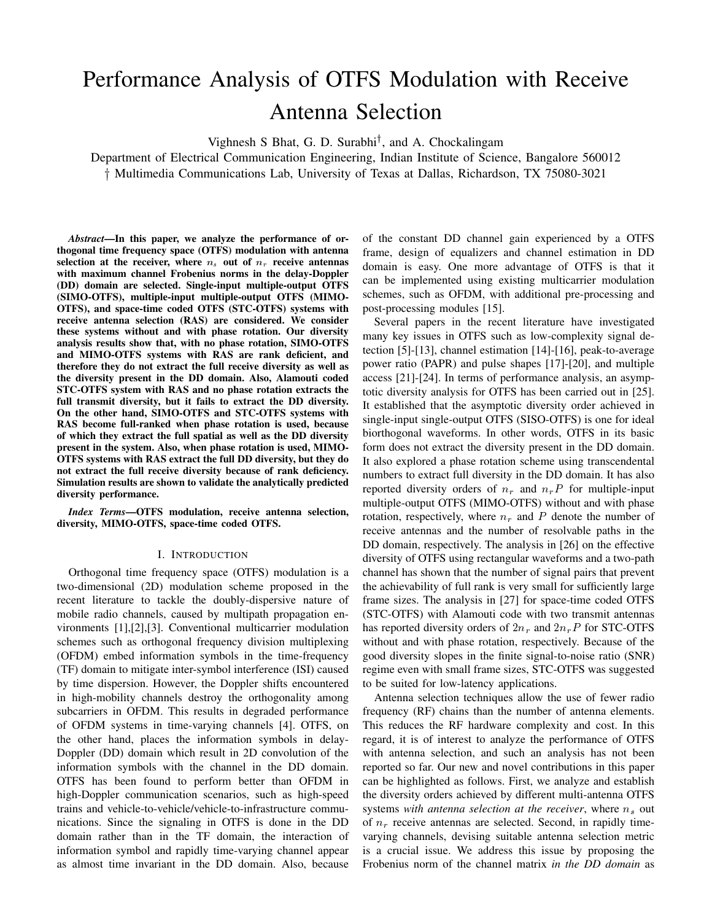# Performance Analysis of OTFS Modulation with Receive Antenna Selection

Vighnesh S Bhat, G. D. Surabhi<sup>†</sup>, and A. Chockalingam

Department of Electrical Communication Engineering, Indian Institute of Science, Bangalore 560012 y Multimedia Communications Lab, University of Texas at Dallas, Richardson, TX 75080-3021

*Abstract*—In this paper, we analyze the performance of orthogonal time frequency space (OTFS) modulation with antenna selection at the receiver, where  $n_s$  out of  $n_r$  receive antennas with maximum channel Frobenius norms in the delay-Doppler (DD) domain are selected. Single-input multiple-output OTFS (SIMO-OTFS), multiple-input multiple-output OTFS (MIMO-OTFS), and space-time coded OTFS (STC-OTFS) systems with receive antenna selection (RAS) are considered. We consider these systems without and with phase rotation. Our diversity analysis results show that, with no phase rotation, SIMO-OTFS and MIMO-OTFS systems with RAS are rank deficient, and therefore they do not extract the full receive diversity as well as the diversity present in the DD domain. Also, Alamouti coded STC-OTFS system with RAS and no phase rotation extracts the full transmit diversity, but it fails to extract the DD diversity. On the other hand, SIMO-OTFS and STC-OTFS systems with RAS become full-ranked when phase rotation is used, because of which they extract the full spatial as well as the DD diversity present in the system. Also, when phase rotation is used, MIMO-OTFS systems with RAS extract the full DD diversity, but they do not extract the full receive diversity because of rank deficiency. Simulation results are shown to validate the analytically predicted diversity performance.

*Index Terms*—OTFS modulation, receive antenna selection, diversity, MIMO-OTFS, space-time coded OTFS.

# I. INTRODUCTION

Orthogonal time frequency space (OTFS) modulation is a two-dimensional (2D) modulation scheme proposed in the recent literature to tackle the doubly-dispersive nature of mobile radio channels, caused by multipath propagation environments [1],[2],[3]. Conventional multicarrier modulation schemes such as orthogonal frequency division multiplexing (OFDM) embed information symbols in the time-frequency (TF) domain to mitigate inter-symbol interference (ISI) caused by time dispersion. However, the Doppler shifts encountered in high-mobility channels destroy the orthogonality among subcarriers in OFDM. This results in degraded performance of OFDM systems in time-varying channels [4]. OTFS, on the other hand, places the information symbols in delay-Doppler (DD) domain which result in 2D convolution of the information symbols with the channel in the DD domain. OTFS has been found to perform better than OFDM in high-Doppler communication scenarios, such as high-speed trains and vehicle-to-vehicle/vehicle-to-infrastructure communications. Since the signaling in OTFS is done in the DD domain rather than in the TF domain, the interaction of information symbol and rapidly time-varying channel appear as almost time invariant in the DD domain. Also, because of the constant DD channel gain experienced by a OTFS frame, design of equalizers and channel estimation in DD domain is easy. One more advantage of OTFS is that it can be implemented using existing multicarrier modulation schemes, such as OFDM, with additional pre-processing and post-processing modules [15].

Several papers in the recent literature have investigated many key issues in OTFS such as low-complexity signal detection [5]-[13], channel estimation [14]-[16], peak-to-average power ratio (PAPR) and pulse shapes [17]-[20], and multiple access [21]-[24]. In terms of performance analysis, an asymptotic diversity analysis for OTFS has been carried out in [25]. It established that the asymptotic diversity order achieved in single-input single-output OTFS (SISO-OTFS) is one for ideal biorthogonal waveforms. In other words, OTFS in its basic form does not extract the diversity present in the DD domain. It also explored a phase rotation scheme using transcendental numbers to extract full diversity in the DD domain. It has also reported diversity orders of  $n_r$  and  $n_rP$  for multiple-input multiple-output OTFS (MIMO-OTFS) without and with phase rotation, respectively, where  $n_r$  and P denote the number of receive antennas and the number of resolvable paths in the DD domain, respectively. The analysis in [26] on the effective diversity of OTFS using rectangular waveforms and a two-path channel has shown that the number of signal pairs that prevent the achievability of full rank is very small for sufficiently large frame sizes. The analysis in [27] for space-time coded OTFS (STC-OTFS) with Alamouti code with two transmit antennas has reported diversity orders of  $2n_r$  and  $2n_rP$  for STC-OTFS without and with phase rotation, respectively. Because of the good diversity slopes in the finite signal-to-noise ratio (SNR) regime even with small frame sizes, STC-OTFS was suggested to be suited for low-latency applications.

Antenna selection techniques allow the use of fewer radio frequency (RF) chains than the number of antenna elements. This reduces the RF hardware complexity and cost. In this regard, it is of interest to analyze the performance of OTFS with antenna selection, and such an analysis has not been reported so far. Our new and novel contributions in this paper can be highlighted as follows. First, we analyze and establish the diversity orders achieved by different multi-antenna OTFS systems *with antenna selection at the receiver*, where  $n_s$  out of  $n_r$  receive antennas are selected. Second, in rapidly timevarying channels, devising suitable antenna selection metric is a crucial issue. We address this issue by proposing the Frobenius norm of the channel matrix *in the DD domain* as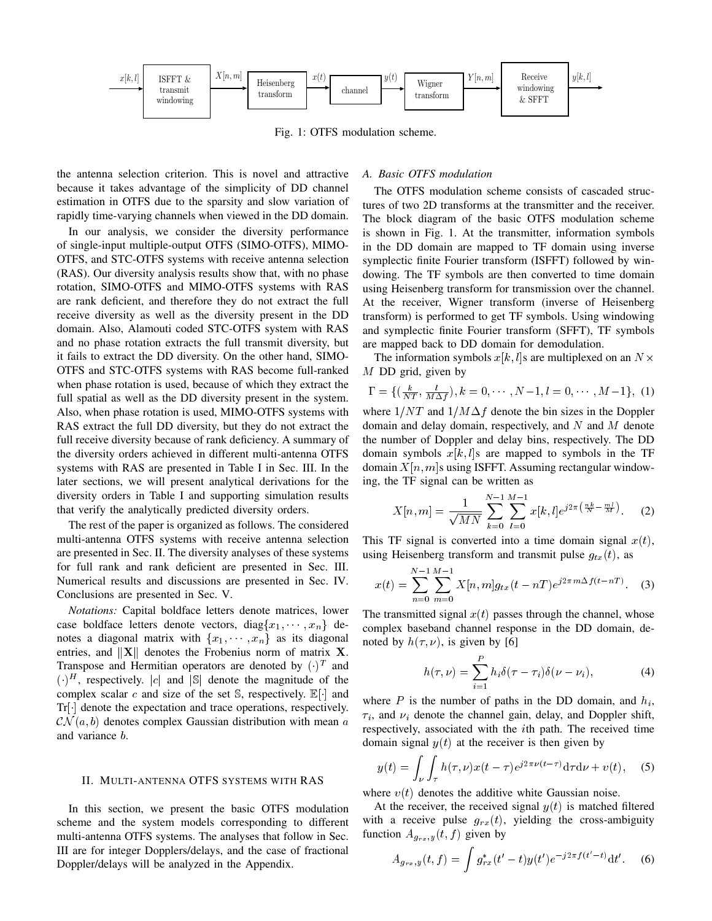

Fig. 1: OTFS modulation scheme.

the antenna selection criterion. This is novel and attractive because it takes advantage of the simplicity of DD channel estimation in OTFS due to the sparsity and slow variation of rapidly time-varying channels when viewed in the DD domain.

In our analysis, we consider the diversity performance of single-input multiple-output OTFS (SIMO-OTFS), MIMO-OTFS, and STC-OTFS systems with receive antenna selection (RAS). Our diversity analysis results show that, with no phase rotation, SIMO-OTFS and MIMO-OTFS systems with RAS are rank deficient, and therefore they do not extract the full receive diversity as well as the diversity present in the DD domain. Also, Alamouti coded STC-OTFS system with RAS and no phase rotation extracts the full transmit diversity, but it fails to extract the DD diversity. On the other hand, SIMO-OTFS and STC-OTFS systems with RAS become full-ranked when phase rotation is used, because of which they extract the full spatial as well as the DD diversity present in the system. Also, when phase rotation is used, MIMO-OTFS systems with RAS extract the full DD diversity, but they do not extract the full receive diversity because of rank deficiency. A summary of the diversity orders achieved in different multi-antenna OTFS systems with RAS are presented in Table I in Sec. III. In the later sections, we will present analytical derivations for the diversity orders in Table I and supporting simulation results that verify the analytically predicted diversity orders.

The rest of the paper is organized as follows. The considered multi-antenna OTFS systems with receive antenna selection are presented in Sec. II. The diversity analyses of these systems for full rank and rank deficient are presented in Sec. III. Numerical results and discussions are presented in Sec. IV. Conclusions are presented in Sec. V.

*Notations:* Capital boldface letters denote matrices, lower case boldface letters denote vectors, diag ${x_1, \dots, x_n}$  denotes a diagonal matrix with  $\{x_1, \dots, x_n\}$  as its diagonal entries, and  $\|\mathbf{X}\|$  denotes the Frobenius norm of matrix X. Transpose and Hermitian operators are denoted by  $(.)^T$  and  $\left(\cdot\right)^{H}$ , respectively.  $|c|$  and  $|\mathbb{S}|$  denote the magnitude of the complex scalar c and size of the set  $\mathbb{S}$ , respectively.  $\mathbb{E}[\cdot]$  and Tr[] denote the expectation and trace operations, respectively.  $\mathcal{CN}(a, b)$  denotes complex Gaussian distribution with mean a and variance b.

# II. MULTI-ANTENNA OTFS SYSTEMS WITH RAS

In this section, we present the basic OTFS modulation scheme and the system models corresponding to different multi-antenna OTFS systems. The analyses that follow in Sec. III are for integer Dopplers/delays, and the case of fractional Doppler/delays will be analyzed in the Appendix.

# *A. Basic OTFS modulation*

The OTFS modulation scheme consists of cascaded structures of two 2D transforms at the transmitter and the receiver. The block diagram of the basic OTFS modulation scheme is shown in Fig. 1. At the transmitter, information symbols in the DD domain are mapped to TF domain using inverse symplectic finite Fourier transform (ISFFT) followed by windowing. The TF symbols are then converted to time domain using Heisenberg transform for transmission over the channel. At the receiver, Wigner transform (inverse of Heisenberg transform) is performed to get TF symbols. Using windowing and symplectic finite Fourier transform (SFFT), TF symbols are mapped back to DD domain for demodulation.

The information symbols  $x[k, l]$ s are multiplexed on an  $N \times$ M DD grid, given by

$$
\Gamma = \{ (\frac{k}{NT}, \frac{l}{M\Delta f}), k = 0, \cdots, N-1, l = 0, \cdots, M-1 \}, (1)
$$

where  $1/NT$  and  $1/M\Delta f$  denote the bin sizes in the Doppler domain and delay domain, respectively, and  $N$  and  $M$  denote the number of Doppler and delay bins, respectively. The DD domain symbols  $x[k, l]$ s are mapped to symbols in the TF domain  $X[n, m]$ s using ISFFT. Assuming rectangular windowing, the TF signal can be written as

$$
X[n,m] = \frac{1}{\sqrt{MN}} \sum_{k=0}^{N-1} \sum_{l=0}^{M-1} x[k,l] e^{j2\pi \left(\frac{nk}{N} - \frac{ml}{M}\right)}.
$$
 (2)

This TF signal is converted into a time domain signal  $x(t)$ , using Heisenberg transform and transmit pulse  $g_{tx}(t)$ , as

$$
x(t) = \sum_{n=0}^{N-1} \sum_{m=0}^{M-1} X[n,m] g_{tx}(t - nT) e^{j2\pi m \Delta f (t - nT)}.
$$
 (3)

The transmitted signal  $x(t)$  passes through the channel, whose complex baseband channel response in the DD domain, denoted by  $h(\tau, \nu)$ , is given by [6]

$$
h(\tau,\nu) = \sum_{i=1}^{P} h_i \delta(\tau - \tau_i) \delta(\nu - \nu_i), \tag{4}
$$

where  $P$  is the number of paths in the DD domain, and  $h_i$ ,  $\tau_i$ , and  $\nu_i$  denote the channel gain, delay, and Doppler shift, respectively, associated with the ith path. The received time domain signal  $y(t)$  at the receiver is then given by

$$
y(t) = \int_{\nu} \int_{\tau} h(\tau, \nu) x(t - \tau) e^{j2\pi \nu (t - \tau)} d\tau d\nu + v(t), \quad (5)
$$

where  $v(t)$  denotes the additive white Gaussian noise.

At the receiver, the received signal  $y(t)$  is matched filtered with a receive pulse  $g_{rx}(t)$ , yielding the cross-ambiguity function  $A_{g_{rx},y}(t, f)$  given by

$$
A_{g_{rx},y}(t,f) = \int g_{rx}^*(t'-t)y(t')e^{-j2\pi f(t'-t)}dt'.
$$
 (6)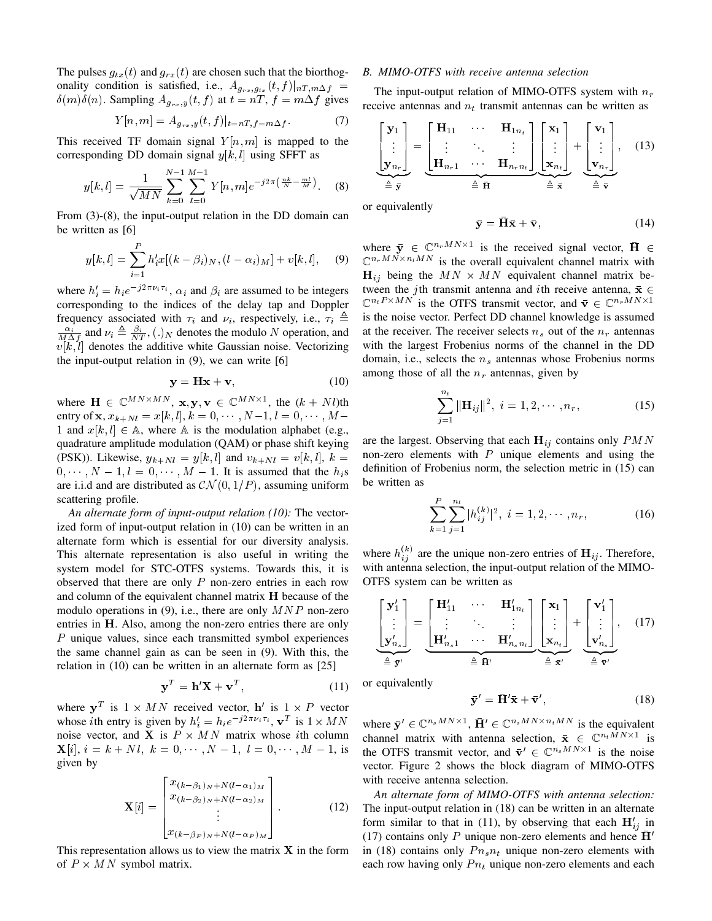The pulses  $g_{tx}(t)$  and  $g_{rx}(t)$  are chosen such that the biorthogonality condition is satisfied, i.e.,  $A_{g_{rx},g_{tx}}(t, f)|_{nT,m\Delta f} =$  $\delta(m)\delta(n)$ . Sampling  $A_{g_{rx},y}(t, f)$  at  $t = nT$ ,  $f = m\Delta f$  gives

$$
Y[n,m] = A_{g_{rx},y}(t,f)|_{t=nT,f=m\Delta f}.
$$
 (7)

This received TF domain signal  $Y[n,m]$  is mapped to the corresponding DD domain signal  $y[k, l]$  using SFFT as

$$
y[k,l] = \frac{1}{\sqrt{MN}} \sum_{k=0}^{N-1} \sum_{l=0}^{M-1} Y[n,m] e^{-j2\pi \left(\frac{nk}{N} - \frac{ml}{M}\right)}.
$$
 (8)

From (3)-(8), the input-output relation in the DD domain can be written as [6]

$$
y[k, l] = \sum_{i=1}^{P} h'_i x[(k - \beta_i)_N, (l - \alpha_i)_M] + v[k, l], \quad (9)
$$

where  $h'_i = h_i e^{-j2\pi \nu_i \tau_i}$ ,  $\alpha_i$  and  $\beta_i$  are assumed to be integers corresponding to the indices of the delay tap and Doppler frequency associated with  $\tau_i$  and  $\nu_i$ , respectively, i.e.,  $\tau_i \triangleq$  $\frac{\alpha_i}{M\Delta f}$  and  $\nu_i \triangleq \frac{\beta_i}{NT}$ , (.)<sub>N</sub> denotes the modulo N operation, and  $v[k, l]$  denotes the additive white Gaussian noise. Vectorizing the input-output relation in (9), we can write [6]

$$
y = Hx + v,\t(10)
$$

where  $\mathbf{H} \in \mathbb{C}^{MN \times MN}$ ,  $\mathbf{x}, \mathbf{y}, \mathbf{v} \in \mathbb{C}^{MN \times 1}$ , the  $(k + Nl)$ th entry of **x**,  $x_{k+Nl} = x[k, l], k = 0, \dots, N-1, l = 0, \dots, M-1$ 1 and  $x[k, l] \in A$ , where A is the modulation alphabet (e.g., quadrature amplitude modulation (QAM) or phase shift keying (PSK)). Likewise,  $y_{k+Nl} = y[k, l]$  and  $v_{k+Nl} = v[k, l], k =$  $0, \dots, N-1, l = 0, \dots, M-1$ . It is assumed that the  $h_i$ s are i.i.d and are distributed as  $\mathcal{CN}(0,1/P)$ , assuming uniform scattering profile.

*An alternate form of input-output relation (10):* The vectorized form of input-output relation in (10) can be written in an alternate form which is essential for our diversity analysis. This alternate representation is also useful in writing the system model for STC-OTFS systems. Towards this, it is observed that there are only  $P$  non-zero entries in each row and column of the equivalent channel matrix H because of the modulo operations in (9), i.e., there are only  $MNP$  non-zero entries in H. Also, among the non-zero entries there are only P unique values, since each transmitted symbol experiences the same channel gain as can be seen in (9). With this, the relation in (10) can be written in an alternate form as [25]

$$
\mathbf{y}^T = \mathbf{h}' \mathbf{X} + \mathbf{v}^T,\tag{11}
$$

where  $y^T$  is  $1 \times MN$  received vector,  $h'$  is  $1 \times P$  vector whose *i*th entry is given by  $h'_i = h_i e^{-j2\pi \nu_i \tau_i}$ ,  $\mathbf{v}^T$  is  $1 \times MN$ noise vector, and **X** is  $P \times MN$  matrix whose *i*th column  $\mathbf{X}[i], i = k + Nl, k = 0, \cdots, N-1, l = 0, \cdots, M-1$ , is given by

$$
\mathbf{X}[i] = \begin{bmatrix} x_{(k-\beta_1)_N+N(l-\alpha_1)_M} \\ x_{(k-\beta_2)_N+N(l-\alpha_2)_M} \\ \vdots \\ x_{(k-\beta_P)_N+N(l-\alpha_P)_M} \end{bmatrix} .
$$
 (12)

This representation allows us to view the matrix  $X$  in the form of  $P \times MN$  symbol matrix.

#### *B. MIMO-OTFS with receive antenna selection*

The input-output relation of MIMO-OTFS system with  $n_r$ receive antennas and  $n_t$  transmit antennas can be written as

$$
\begin{bmatrix} \mathbf{y}_1 \\ \vdots \\ \mathbf{y}_{n_r} \end{bmatrix} = \underbrace{\begin{bmatrix} \mathbf{H}_{11} & \cdots & \mathbf{H}_{1n_t} \\ \vdots & \ddots & \vdots \\ \mathbf{H}_{n_r1} & \cdots & \mathbf{H}_{n_rn_t} \end{bmatrix}}_{\triangleq \overrightarrow{\mathbf{H}}} \underbrace{\begin{bmatrix} \mathbf{x}_1 \\ \vdots \\ \mathbf{x}_{n_t} \end{bmatrix}}_{\triangleq \overrightarrow{\mathbf{x}}} + \underbrace{\begin{bmatrix} \mathbf{v}_1 \\ \vdots \\ \mathbf{v}_{n_r} \end{bmatrix}}_{\triangleq \overrightarrow{\mathbf{v}},}
$$
(13)

or equivalently

$$
\bar{\mathbf{y}} = \bar{\mathbf{H}}\bar{\mathbf{x}} + \bar{\mathbf{v}},\tag{14}
$$

where  $\bar{y} \in \mathbb{C}^{n_rMN\times 1}$  is the received signal vector,  $\bar{H} \in$  $\mathbb{C}^{n_rMN \times n_tMN}$  is the overall equivalent channel matrix with  $H_{ij}$  being the  $MN \times MN$  equivalent channel matrix between the jth transmit antenna and ith receive antenna,  $\bar{x} \in$  $\mathbb{C}^{n_t P \times MN}$  is the OTFS transmit vector, and  $\bar{\mathbf{v}} \in \mathbb{C}^{n_r MN \times 1}$ is the noise vector. Perfect DD channel knowledge is assumed at the receiver. The receiver selects  $n_s$  out of the  $n_r$  antennas with the largest Frobenius norms of the channel in the DD domain, i.e., selects the  $n<sub>s</sub>$  antennas whose Frobenius norms among those of all the  $n_r$  antennas, given by

$$
\sum_{j=1}^{n_t} \|\mathbf{H}_{ij}\|^2, \ i = 1, 2, \cdots, n_r,
$$
 (15)

are the largest. Observing that each  $H_{ij}$  contains only  $PMN$ non-zero elements with  $P$  unique elements and using the definition of Frobenius norm, the selection metric in (15) can be written as

$$
\sum_{k=1}^{P} \sum_{j=1}^{n_t} |h_{ij}^{(k)}|^2, \ i = 1, 2, \cdots, n_r,
$$
 (16)

where  $h_{ij}^{(k)}$  are the unique non-zero entries of  $H_{ij}$ . Therefore, with antenna selection, the input-output relation of the MIMO-OTFS system can be written as

$$
\underbrace{\begin{bmatrix} \mathbf{y}'_1 \\ \vdots \\ \mathbf{y}'_{n_s} \end{bmatrix}}_{\triangleq \tilde{\mathbf{y}}'} = \underbrace{\begin{bmatrix} \mathbf{H}'_{11} & \cdots & \mathbf{H}'_{1n_t} \\ \vdots & \ddots & \vdots \\ \mathbf{H}'_{n_s 1} & \cdots & \mathbf{H}'_{n_s n_t} \end{bmatrix}}_{\triangleq \tilde{\mathbf{H}}'} \underbrace{\begin{bmatrix} \mathbf{x}_1 \\ \vdots \\ \mathbf{x}_{n_t} \end{bmatrix}}_{\triangleq \tilde{\mathbf{x}}'} + \underbrace{\begin{bmatrix} \mathbf{v}'_1 \\ \vdots \\ \mathbf{v}'_{n_s} \end{bmatrix}}_{\triangleq \tilde{\mathbf{v}}'}, \quad (17)
$$

or equivalently

$$
\bar{\mathbf{y}}' = \bar{\mathbf{H}}' \bar{\mathbf{x}} + \bar{\mathbf{v}}',\tag{18}
$$

where  $\bar{\mathbf{y}}' \in \mathbb{C}^{n_s MN \times 1}$ ,  $\bar{\mathbf{H}}' \in \mathbb{C}^{n_s MN \times n_t MN}$  is the equivalent channel matrix with antenna selection,  $\bar{\mathbf{x}} \in \mathbb{C}^{n_t \bar{M} N \times 1}$  is the OTFS transmit vector, and  $\bar{\mathbf{v}}' \in \mathbb{C}^{n_s MN \times 1}$  is the noise vector. Figure 2 shows the block diagram of MIMO-OTFS with receive antenna selection.

*An alternate form of MIMO-OTFS with antenna selection:* The input-output relation in (18) can be written in an alternate form similar to that in (11), by observing that each  $\mathbf{H}'_{ij}$  in (17) contains only P unique non-zero elements and hence  $\overline{H}'$ in (18) contains only  $P_{n_s n_t}$  unique non-zero elements with each row having only  $P_{n_t}$  unique non-zero elements and each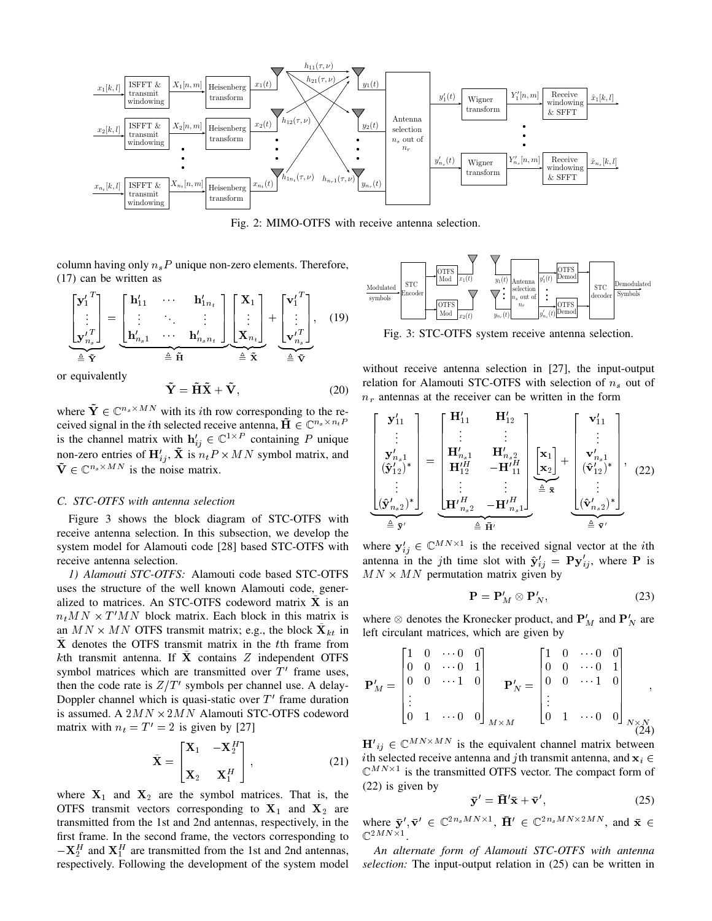

Fig. 2: MIMO-OTFS with receive antenna selection.

column having only  $n_sP$  unique non-zero elements. Therefore, (17) can be written as

$$
\begin{bmatrix} \mathbf{y}'_{1}^{T} \\ \vdots \\ \mathbf{y}'_{n_{s}}^{T} \end{bmatrix} = \underbrace{\begin{bmatrix} \mathbf{h}'_{11} & \cdots & \mathbf{h}'_{1n_{t}} \\ \vdots & \ddots & \vdots \\ \mathbf{h}'_{n_{s}1} & \cdots & \mathbf{h}'_{n_{s}n_{t}} \end{bmatrix}}_{\triangleq \widetilde{\mathbf{H}}} \underbrace{\begin{bmatrix} \mathbf{X}_{1} \\ \vdots \\ \mathbf{X}_{n_{t}} \end{bmatrix}}_{\triangleq \widetilde{\mathbf{X}}} + \underbrace{\begin{bmatrix} \mathbf{v}'_{1}^{T} \\ \vdots \\ \mathbf{v}'_{n_{s}}^{T} \end{bmatrix}}_{\triangleq \widetilde{\mathbf{V}}}, \quad (19)
$$

or equivalently

$$
\tilde{\mathbf{Y}} = \tilde{\mathbf{H}} \tilde{\mathbf{X}} + \tilde{\mathbf{V}},\tag{20}
$$

where  $\tilde{\mathbf{Y}} \in \mathbb{C}^{n_s \times MN}$  with its *i*th row corresponding to the received signal in the *i*th selected receive antenna,  $\tilde{H} \in \mathbb{C}^{n_s \times n_t P}$ is the channel matrix with  $h'_{ij} \in \mathbb{C}^{1 \times P}$  containing P unique non-zero entries of  $H'_{ij}$ ,  $\tilde{\mathbf{X}}$  is  $n_t P \times MN$  symbol matrix, and  $\tilde{\mathbf{V}} \in \mathbb{C}^{n_s \times MN}$  is the noise matrix.

# *C. STC-OTFS with antenna selection*

Figure 3 shows the block diagram of STC-OTFS with receive antenna selection. In this subsection, we develop the system model for Alamouti code [28] based STC-OTFS with receive antenna selection.

*1) Alamouti STC-OTFS:* Alamouti code based STC-OTFS uses the structure of the well known Alamouti code, generalized to matrices. An STC-OTFS codeword matrix  $X$  is an  $n_t M N \times T' M N$  block matrix. Each block in this matrix is an  $MN \times MN$  OTFS transmit matrix; e.g., the block  $\tilde{\mathbf{X}}_{kt}$  in X denotes the OTFS transmit matrix in the tth frame from kth transmit antenna. If  $\tilde{\mathbf{X}}$  contains Z independent OTFS symbol matrices which are transmitted over  $T'$  frame uses, then the code rate is  $Z/T'$  symbols per channel use. A delay-Doppler channel which is quasi-static over  $T'$  frame duration is assumed. A  $2MN \times 2MN$  Alamouti STC-OTFS codeword matrix with  $n_t = T' = 2$  is given by [27]  $\left[\sum_{i=1}^{n} \sum_{j=1}^{n} \frac{1}{2} \sum_{j=1}^{n} \frac{1}{2} \sum_{j=1}^{n} \frac{1}{2} \sum_{j=1}^{n} \frac{1}{2} \sum_{j=1}^{n} \frac{1}{2} \sum_{j=1}^{n} \frac{1}{2} \sum_{j=1}^{n} \frac{1}{2} \sum_{j=1}^{n} \frac{1}{2} \sum_{j=1}^{n} \frac{1}{2} \sum_{j=1}^{n} \frac{1}{2} \sum_{j=1}^{n} \frac{1}{2} \sum_{j=1}^{n} \frac{1}{2} \sum_{j$ 

$$
\tilde{\mathbf{X}} = \begin{bmatrix} \mathbf{X}_1 & -\mathbf{X}_2^H \\ \mathbf{X}_2 & \mathbf{X}_1^H \end{bmatrix},
$$
(21)

where  $X_1$  and  $X_2$  are the symbol matrices. That is, the OTFS transmit vectors corresponding to  $X_1$  and  $X_2$  are transmitted from the 1st and 2nd antennas, respectively, in the first frame. In the second frame, the vectors corresponding to  $-\mathbf{X}_2^H$  and  $\mathbf{X}_1^H$  are transmitted from the 1st and 2nd antennas,



Fig. 3: STC-OTFS system receive antenna selection.

without receive antenna selection in [27], the input-output relation for Alamouti STC-OTFS with selection of  $n_s$  out of  $n_r$  antennas at the receiver can be written in the form

$$
\begin{bmatrix}\n\mathbf{y}'_{11} \\
\vdots \\
\mathbf{y}'_{n_s1} \\
(\hat{\mathbf{y}}'_{12})^* \\
\vdots \\
(\hat{\mathbf{y}}'_{n_s2})^*\n\end{bmatrix} = \begin{bmatrix}\n\mathbf{H}'_{11} & \mathbf{H}'_{12} \\
\vdots & \vdots \\
\mathbf{H}'_{n_s1} & \mathbf{H}'_{n_s2} \\
\mathbf{H}'_{12} & -\mathbf{H}'_{11} \\
\vdots & \vdots \\
\mathbf{H}'_{n_s2} & -\mathbf{H}'_{n_s1}\n\end{bmatrix}\n\begin{bmatrix}\n\mathbf{x}_1 \\
\mathbf{x}_2\n\end{bmatrix} + \begin{bmatrix}\n\mathbf{v}'_{11} \\
\vdots \\
\mathbf{v}'_{n_s1} \\
(\hat{\mathbf{v}}'_{12})^*\n\end{bmatrix}, (22)
$$
\n
$$
\stackrel{\triangle}{=} \overline{\mathbf{y}'}
$$

where  $y'_{ij} \in \mathbb{C}^{MN \times 1}$  is the received signal vector at the *i*th antenna in the jth time slot with  $\hat{\mathbf{y}}'_{ij} = \mathbf{P}\mathbf{y}'_{ij}$ , where P is  $MN \times MN$  permutation matrix given by

$$
\mathbf{P} = \mathbf{P}'_M \otimes \mathbf{P}'_N,\tag{23}
$$

where  $\otimes$  denotes the Kronecker product, and  $\mathbf{P}'_M$  and  $\mathbf{P}'_N$  are left circulant matrices, which are given by

$$
\mathbf{P}'_M = \begin{bmatrix} 1 & 0 & \cdots 0 & 0 \\ 0 & 0 & \cdots 0 & 1 \\ 0 & 0 & \cdots 1 & 0 \\ \vdots & & & & \\ 0 & 1 & \cdots 0 & 0 \end{bmatrix}_{M \times M} \mathbf{P}'_N = \begin{bmatrix} 1 & 0 & \cdots 0 & 0 \\ 0 & 0 & \cdots 0 & 1 \\ 0 & 0 & \cdots 1 & 0 \\ \vdots & & & & \\ 0 & 1 & \cdots 0 & 0 \end{bmatrix}_{N \times N \atop (24)}
$$

 ${\bf H'}_{ij} \in \mathbb{C}^{MN \times MN}$  is the equivalent channel matrix between ith selected receive antenna and jth transmit antenna, and  $x_i \in$  $\mathbb{C}^{MN\times 1}$  is the transmitted OTFS vector. The compact form of (22) is given by

$$
\bar{\mathbf{y}}' = \bar{\mathbf{H}}' \bar{\mathbf{x}} + \bar{\mathbf{v}}',\tag{25}
$$

where  $\bar{\mathbf{y}}', \bar{\mathbf{v}}' \in \mathbb{C}^{2n_s MN \times 1}$ ,  $\bar{\mathbf{H}}' \in \mathbb{C}^{2n_s MN \times 2MN}$ , and  $\bar{\mathbf{x}} \in$  $\mathbb{C}^{2MN\times1}.$ 

*An alternate form of Alamouti STC-OTFS with antenna selection:* The input-output relation in (25) can be written in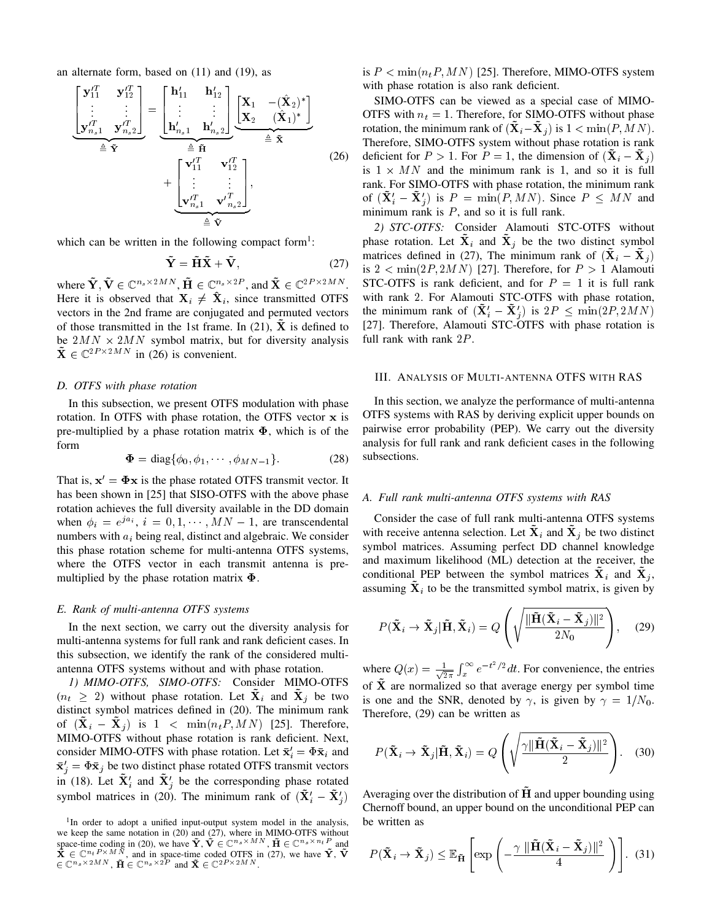an alternate form, based on (11) and (19), as

$$
\begin{bmatrix}\n\mathbf{y}_{11}^{\prime T} & \mathbf{y}_{12}^{\prime T} \\
\vdots & \vdots \\
\mathbf{y}_{n_s 1}^{\prime T} & \mathbf{y}_{n_s 2}^{\prime T}\n\end{bmatrix} = \underbrace{\begin{bmatrix}\n\mathbf{h}_{11}^{\prime} & \mathbf{h}_{12}^{\prime} \\
\vdots & \vdots \\
\mathbf{h}_{n_s 1}^{\prime} & \mathbf{h}_{n_s 2}^{\prime}\n\end{bmatrix}}_{\triangleq \widetilde{\mathbf{Y}}} \underbrace{\begin{bmatrix}\n\mathbf{X}_1 & -(\hat{\mathbf{X}}_2)^* \\
\mathbf{X}_2 & (\hat{\mathbf{X}}_1)^*\n\end{bmatrix}}_{\triangleq \widetilde{\mathbf{X}}} + \underbrace{\begin{bmatrix}\n\mathbf{v}_{11}^{\prime T} & \mathbf{v}_{12}^{\prime T} \\
\vdots & \vdots \\
\mathbf{v}_{n_s 1}^{\prime T} & \mathbf{v}_{n_s 2}^{\prime T}\n\end{bmatrix}}_{\triangleq \widetilde{\mathbf{Y}}},
$$
\n(26)

which can be written in the following compact form<sup>1</sup>:

$$
\tilde{\mathbf{Y}} = \tilde{\mathbf{H}} \tilde{\mathbf{X}} + \tilde{\mathbf{V}},\tag{27}
$$

where  $\tilde{\mathbf{Y}}, \tilde{\mathbf{V}} \in \mathbb{C}^{n_s \times 2MN}, \tilde{\mathbf{H}} \in \mathbb{C}^{n_s \times 2P}, \text{and } \tilde{\mathbf{X}} \in \mathbb{C}^{2P \times 2MN}.$ Here it is observed that  $X_i \neq \hat{X}_i$ , since transmitted OTFS vectors in the 2nd frame are conjugated and permuted vectors of those transmitted in the 1st frame. In  $(21)$ , X is defined to be  $2MN \times 2MN$  symbol matrix, but for diversity analysis  $\tilde{\mathbf{X}} \in \mathbb{C}^{2P \times 2MN}$  in (26) is convenient.

#### *D. OTFS with phase rotation*

In this subsection, we present OTFS modulation with phase rotation. In OTFS with phase rotation, the OTFS vector x is pre-multiplied by a phase rotation matrix  $\Phi$ , which is of the form

$$
\mathbf{\Phi} = \text{diag}\{\phi_0, \phi_1, \cdots, \phi_{MN-1}\}.
$$
 (28)

That is,  $x' = \Phi x$  is the phase rotated OTFS transmit vector. It has been shown in [25] that SISO-OTFS with the above phase rotation achieves the full diversity available in the DD domain when  $\phi_i = e^{j a_i}$ ,  $i = 0, 1, \dots, MN - 1$ , are transcendental numbers with  $a_i$  being real, distinct and algebraic. We consider this phase rotation scheme for multi-antenna OTFS systems, where the OTFS vector in each transmit antenna is premultiplied by the phase rotation matrix  $\Phi$ .

#### *E. Rank of multi-antenna OTFS systems*

In the next section, we carry out the diversity analysis for multi-antenna systems for full rank and rank deficient cases. In this subsection, we identify the rank of the considered multiantenna OTFS systems without and with phase rotation.

*1) MIMO-OTFS, SIMO-OTFS:* Consider MIMO-OTFS  $(n_t \geq 2)$  without phase rotation. Let  $\mathbf{X}_i$  and  $\mathbf{X}_j$  be two distinct symbol matrices defined in (20). The minimum rank of  $(X_i - X_j)$  is  $1 < \min(n_t P, MN)$  [25]. Therefore, MIMO-OTFS without phase rotation is rank deficient. Next, consider MIMO-OTFS with phase rotation. Let  $\bar{\mathbf{x}}'_i = \Phi \bar{\mathbf{x}}_i$  and  $\bar{\mathbf{x}}'_j = \Phi \bar{\mathbf{x}}_j$  be two distinct phase rotated OTFS transmit vectors in (18). Let  $\tilde{\mathbf{X}}'_i$  and  $\tilde{\mathbf{X}}'_j$  be the corresponding phase rotated symbol matrices in (20). The minimum rank of  $(\tilde{\mathbf{X}}'_i - \tilde{\mathbf{X}}'_j)$  is  $P \leq \min(n_t, P, MN)$  [25]. Therefore, MIMO-OTFS system with phase rotation is also rank deficient.

SIMO-OTFS can be viewed as a special case of MIMO-OTFS with  $n_t = 1$ . Therefore, for SIMO-OTFS without phase rotation, the minimum rank of  $(X_i - X_j)$  is  $1 < \min(P, MN)$ . Therefore, SIMO-OTFS system without phase rotation is rank deficient for  $P > 1$ . For  $P = 1$ , the dimension of  $(X_i - X_j)$ is  $1 \times MN$  and the minimum rank is 1, and so it is full rank. For SIMO-OTFS with phase rotation, the minimum rank of  $(\tilde{\mathbf{X}}'_i - \tilde{\mathbf{X}}'_j)$  is  $P = \min(P, MN)$ . Since  $P \leq MN$  and minimum rank is  $P$ , and so it is full rank.

*2) STC-OTFS:* Consider Alamouti STC-OTFS without phase rotation. Let  $X_i$  and  $X_j$  be the two distinct symbol matrices defined in (27), The minimum rank of  $(X_i - X_j)$ is  $2 < min(2P, 2MN)$  [27]. Therefore, for  $P > 1$  Alamouti STC-OTFS is rank deficient, and for  $P = 1$  it is full rank with rank 2. For Alamouti STC-OTFS with phase rotation, the minimum rank of  $(\tilde{\mathbf{X}}'_i - \tilde{\mathbf{X}}'_j)$  is  $2P \leq \min(2P, 2MN)$ [27]. Therefore, Alamouti STC-OTFS with phase rotation is full rank with rank 2P.

# III. ANALYSIS OF MULTI-ANTENNA OTFS WITH RAS

In this section, we analyze the performance of multi-antenna OTFS systems with RAS by deriving explicit upper bounds on pairwise error probability (PEP). We carry out the diversity analysis for full rank and rank deficient cases in the following subsections.

#### *A. Full rank multi-antenna OTFS systems with RAS*

Consider the case of full rank multi-antenna OTFS systems with receive antenna selection. Let  $X_i$  and  $X_j$  be two distinct symbol matrices. Assuming perfect DD channel knowledge and maximum likelihood (ML) detection at the receiver, the conditional PEP between the symbol matrices  $\mathbf{\bar{X}}_i$  and  $\mathbf{\bar{X}}_j$ , assuming  $\tilde{\mathbf{X}}_i$  to be the transmitted symbol matrix, is given by

$$
P(\tilde{\mathbf{X}}_i \to \tilde{\mathbf{X}}_j | \tilde{\mathbf{H}}, \tilde{\mathbf{X}}_i) = Q\left(\sqrt{\frac{\|\tilde{\mathbf{H}}(\tilde{\mathbf{X}}_i - \tilde{\mathbf{X}}_j)\|^2}{2N_0}}\right), \quad (29)
$$

where  $Q(x) = \frac{1}{\sqrt{2}}$  $\frac{1}{2\pi} \int_x^{\infty} e^{-t^2/2} dt$ . For convenience, the entries of  $\tilde{\mathbf{X}}$  are normalized so that average energy per symbol time is one and the SNR, denoted by  $\gamma$ , is given by  $\gamma = 1/N_0$ . Therefore, (29) can be written as

$$
P(\tilde{\mathbf{X}}_i \to \tilde{\mathbf{X}}_j | \tilde{\mathbf{H}}, \tilde{\mathbf{X}}_i) = Q\left(\sqrt{\frac{\gamma \|\tilde{\mathbf{H}}(\tilde{\mathbf{X}}_i - \tilde{\mathbf{X}}_j)\|^2}{2}}\right).
$$
 (30)

Averaging over the distribution of  $\overline{H}$  and upper bounding using Chernoff bound, an upper bound on the unconditional PEP can be written as

$$
P(\tilde{\mathbf{X}}_i \to \tilde{\mathbf{X}}_j) \leq \mathbb{E}_{\tilde{\mathbf{H}}} \left[ \exp \left( -\frac{\gamma \, \|\tilde{\mathbf{H}} (\tilde{\mathbf{X}}_i - \tilde{\mathbf{X}}_j)\|^2}{4} \right) \right]. \tag{31}
$$

<sup>&</sup>lt;sup>1</sup>In order to adopt a unified input-output system model in the analysis, we keep the same notation in (20) and (27), where in MIMO-OTFS without space-time coding in (20), we have  $\tilde{\mathbf{Y}}, \tilde{\mathbf{V}} \in \mathbb{C}^{n_s \times M N}$ ,  $\tilde{\mathbf{H}} \in \mathbb{C}^{n_s \times n_t P}$  and  $\tilde{\mathbf{X}} \in \mathbb{C}^{n_t P \times M N}$ , and in space-t  $\widetilde{\mathbf{H}} \in \mathbb{C}^{n_s \times 2MN}$ ,  $\widetilde{\mathbf{H}} \in \mathbb{C}^{n_s \times 2P}$  and  $\widetilde{\mathbf{X}} \in \mathbb{C}^{2P \times 2MN}$ .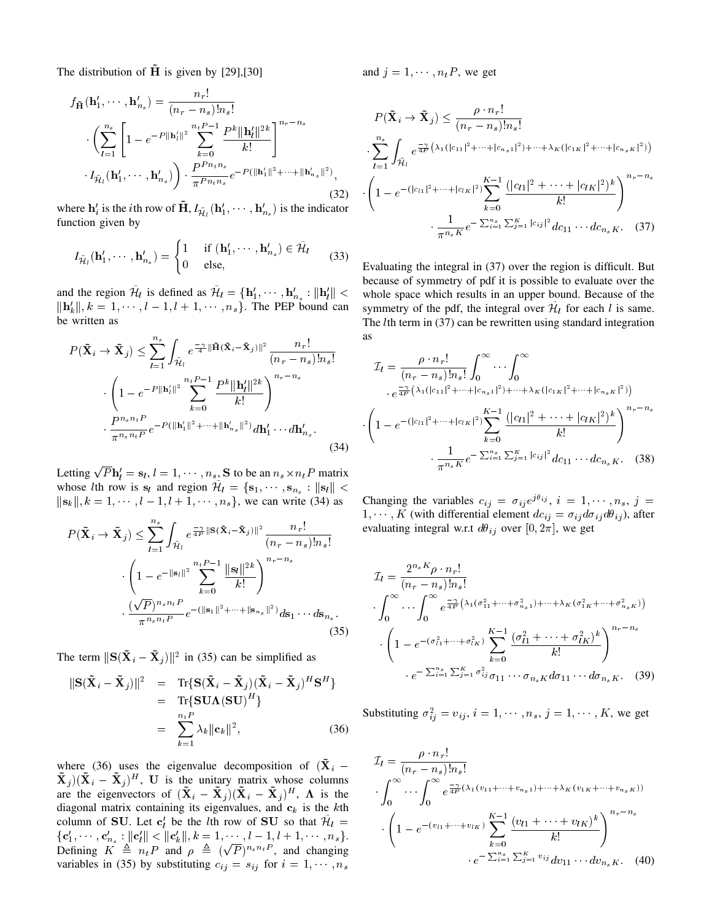The distribution of  $\overline{H}$  is given by [29],[30]

$$
f_{\tilde{\mathbf{H}}}(\mathbf{h}'_1, \cdots, \mathbf{h}'_{n_s}) = \frac{n_r!}{(n_r - n_s)! n_s!}
$$

$$
\left(\sum_{l=1}^{n_s} \left[1 - e^{-P||\mathbf{h}'_l||^2} \sum_{k=0}^{n_t P - 1} \frac{P^k ||\mathbf{h}'_l||^{2k}}{k!}\right]^{n_r - n_s}
$$

$$
I_{\tilde{\mathcal{H}}_l}(\mathbf{h}'_1, \cdots, \mathbf{h}'_{n_s})\right) \cdot \frac{P^{P_{n_t n_s}}}{\pi^{P_{n_t n_s}}} e^{-P(||\mathbf{h}'_1||^2 + \cdots + ||\mathbf{h}'_{n_s}||^2)}, \tag{32}
$$

where  $\mathbf{h}'_i$  is the *i*th row of  $\tilde{\mathbf{H}}$ ,  $I_{\tilde{\mathcal{H}}_l}(\mathbf{h}'_1, \cdots, \mathbf{h}'_{n_s})$  is the indicator function given by

$$
I_{\tilde{\mathcal{H}}_l}(\mathbf{h}'_1, \cdots, \mathbf{h}'_{n_s}) = \begin{cases} 1 & \text{if } (\mathbf{h}'_1, \cdots, \mathbf{h}'_{n_s}) \in \tilde{\mathcal{H}}_l \\ 0 & \text{else}, \end{cases}
$$
(33)

and the region  $\mathcal{H}_l$  is defined as  $\mathcal{H}_l = {\bf h}'_1, \cdots, {\bf h}'_{n_s} : ||{\bf h}'_l|| <$  $\|\mathbf{h}'_k\|, k = 1, \cdots, l-1, l+1, \cdots, n_s$ . The PEP bound can be written as

$$
P(\tilde{\mathbf{X}}_{i} \to \tilde{\mathbf{X}}_{j}) \leq \sum_{l=1}^{n_{s}} \int_{\tilde{\mathcal{H}}_{l}} e^{-\frac{\gamma}{4} ||\tilde{\mathbf{H}}(\tilde{\mathbf{X}}_{i} - \tilde{\mathbf{X}}_{j})||^{2}} \frac{n_{r}!}{(n_{r} - n_{s})! n_{s}!}
$$

$$
\left(1 - e^{-P||\mathbf{h}'_{l}||^{2}} \sum_{k=0}^{n_{t} P - 1} \frac{P^{k}||\mathbf{h}'_{l}||^{2k}}{k!}\right)^{n_{r} - n_{s}}
$$

$$
\frac{P^{n_{s} n_{t} P}}{\pi^{n_{s} n_{t} P}} e^{-P(||\mathbf{h}'_{l}||^{2} + \dots + ||\mathbf{h}'_{n_{s}}||^{2})} d\mathbf{h}'_{1} \dots d\mathbf{h}'_{n_{s}}.
$$
(34)

Letting  $\sqrt{P} \mathbf{h}'_l = \mathbf{s}_l, l = 1, \cdots, n_{s_2} \mathbf{S}$  to be an  $n_s \times n_t P$  matrix whose *l*th row is  $s_l$  and region  $\tilde{\mathcal{H}}_l = \{s_1, \dots, s_{n_s} : ||s_l|| <$  $\|s_k\|, k = 1, \dots, l - 1, l + 1, \dots, n_s\}$ , we can write (34) as

$$
P(\tilde{\mathbf{X}}_{i} \to \tilde{\mathbf{X}}_{j}) \leq \sum_{l=1}^{n_{s}} \int_{\tilde{\mathcal{H}}_{l}} e^{\frac{-\gamma}{4P} \|\mathbf{S}(\tilde{\mathbf{X}}_{i} - \tilde{\mathbf{X}}_{j})\|^{2}} \frac{n_{r}!}{(n_{r} - n_{s})! n_{s}!}
$$

$$
\cdot \left(1 - e^{-\|\mathbf{s}_{i}\|^{2}} \sum_{k=0}^{n_{t} P - 1} \frac{\|\mathbf{s}_{l}\|^{2k}}{k!}\right)^{n_{r} - n_{s}}
$$

$$
\cdot \frac{(\sqrt{P})^{n_{s} n_{t} P}}{\pi^{n_{s} n_{t} P}} e^{-\left(\|\mathbf{s}_{1}\|^{2} + \dots + \|\mathbf{s}_{n_{s}}\|^{2}\right)} d\mathbf{s}_{1} \dots d\mathbf{s}_{n_{s}}.
$$
(35)

The term  $\|\mathbf{S}(\tilde{\mathbf{X}}_i - \tilde{\mathbf{X}}_j )\|^2$  in (35) can be simplified as

$$
\|\mathbf{S}(\tilde{\mathbf{X}}_i - \tilde{\mathbf{X}}_j)\|^2 = \text{Tr}\{\mathbf{S}(\tilde{\mathbf{X}}_i - \tilde{\mathbf{X}}_j)(\tilde{\mathbf{X}}_i - \tilde{\mathbf{X}}_j)^H \mathbf{S}^H\}
$$
  
= 
$$
\text{Tr}\{\mathbf{S}\mathbf{U}\mathbf{\Lambda}(\mathbf{S}\mathbf{U})^H\}
$$
  
= 
$$
\sum_{k=1}^{n_t P} \lambda_k \|\mathbf{c}_k\|^2,
$$
 (36)

where (36) uses the eigenvalue decomposition of  $(\tilde{\mathbf{X}}_i$  –  $\tilde{\mathbf{X}}_j$   $((\tilde{\mathbf{X}}_i - \tilde{\mathbf{X}}_j )^H, \mathbf{U}$  is the unitary matrix whose columns are the eigenvectors of  $({\tilde{\bf X}}_i - {\tilde{\bf X}}_j)({\tilde{\bf X}}_i - {\tilde{\bf X}}_j )^H$ ,  ${\bf \Lambda}$  is the diagonal matrix containing its eigenvalues, and  $c_k$  is the kth column of SU. Let  $c_l$  be the lth row of SU so that  $\tilde{\mathcal{H}}_l =$  $\{ {\bf c}'_1, \cdots, {\bf c}'_{n_s} : \| {\bf c}'_l \| < \| {\bf c}'_k \|, k = 1, \cdots, l-1, l+1, \cdots, n_s \}.$ Defining  $K \triangleq n_t P$  and  $\rho \triangleq (\sqrt{P})^{n_s n_t P}$ , and changing variables in (35) by substituting  $c_{ij} = s_{ij}$  for  $i = 1, \dots, n_s$  and  $j = 1, \dots, n_t P$ , we get

$$
P(\tilde{\mathbf{X}}_{i} \to \tilde{\mathbf{X}}_{j}) \leq \frac{\rho \cdot n_{r}!}{(n_{r} - n_{s})! n_{s}!}
$$

$$
\sum_{l=1}^{n_{s}} \int_{\tilde{\mathcal{H}}_{l}} e^{\frac{-\gamma}{4P} \left( \lambda_{1}(|c_{11}|^{2} + \dots + |c_{n_{s}1}|^{2}) + \dots + \lambda_{K}(|c_{1K}|^{2} + \dots + |c_{n_{s}K}|^{2}) \right)}
$$

$$
\cdot \left( 1 - e^{-(|c_{l1}|^{2} + \dots + |c_{lK}|^{2})} \sum_{k=0}^{K-1} \frac{(|c_{l1}|^{2} + \dots + |c_{lK}|^{2})^{k}}{k!} \right)^{n_{r} - n_{s}}
$$

$$
\cdot \frac{1}{\pi^{n_{s}K}} e^{-\sum_{i=1}^{n_{s}} \sum_{j=1}^{K} |c_{ij}|^{2}} dc_{11} \cdots dc_{n_{s}K}.
$$
(37)

Evaluating the integral in (37) over the region is difficult. But because of symmetry of pdf it is possible to evaluate over the whole space which results in an upper bound. Because of the symmetry of the pdf, the integral over  $\hat{\mathcal{H}}_l$  for each l is same. The *l*th term in (37) can be rewritten using standard integration as

$$
\mathcal{I}_{l} = \frac{\rho \cdot n_{r}!}{(n_{r} - n_{s})!n_{s}!} \int_{0}^{\infty} \cdots \int_{0}^{\infty} \left( \frac{1}{n_{r} \cdot \mu_{r}^{2}} \left( \frac{\lambda_{1}(|c_{11}|^{2} + \cdots + |c_{n_{s}1}|^{2}) + \cdots + \lambda_{K}(|c_{1K}|^{2} + \cdots + |c_{n_{s}K}|^{2})}{e^{\frac{-\gamma}{4F} \left(\lambda_{1}(|c_{11}|^{2} + \cdots + |c_{1K}|^{2})\right)}} \right) \cdot \left( 1 - e^{-\left(|c_{l1}|^{2} + \cdots + |c_{lK}|^{2}\right)} \sum_{k=0}^{K-1} \frac{(|c_{l1}|^{2} + \cdots + |c_{lK}|^{2})^{k}}{k!} \right)^{n_{r} - n_{s}} \cdot \frac{1}{\pi^{n_{s}K}} e^{-\sum_{i=1}^{n_{s}} \sum_{j=1}^{K} |c_{ij}|^{2}} d c_{11} \cdots d c_{n_{s}K}.
$$
 (38)

Changing the variables  $c_{ij} = \sigma_{ij} e^{j\theta_{ij}}$ ,  $i = 1, \dots, n_s$ ,  $j =$  $1, \dots, K$  (with differential element  $dc_{ij} = \sigma_{ij} d\sigma_{ij} d\theta_{ij}$ ), after evaluating integral w.r.t  $d\theta_{ij}$  over [0, 2 $\pi$ ], we get

$$
\mathcal{I}_{l} = \frac{2^{n_{s} K} \rho \cdot n_{r}!}{(n_{r} - n_{s})! n_{s}!} \cdot \int_{0}^{\infty} \cdots \int_{0}^{\infty} e^{\frac{-\gamma}{4P} \left( \lambda_{1} (\sigma_{11}^{2} + \cdots + \sigma_{n_{s}1}^{2}) + \cdots + \lambda_{K} (\sigma_{1K}^{2} + \cdots + \sigma_{n_{s}K}^{2}) \right)} \cdot \left( 1 - e^{-(\sigma_{l1}^{2} + \cdots + \sigma_{lK}^{2})} \sum_{k=0}^{K-1} \frac{(\sigma_{l1}^{2} + \cdots + \sigma_{lK}^{2})^{k}}{k!} \right)^{n_{r} - n_{s}} \cdot e^{-\sum_{i=1}^{n_{s}} \sum_{j=1}^{K} \sigma_{ij}^{2} \sigma_{11} \cdots \sigma_{n_{s}K} d\sigma_{11} \cdots d\sigma_{n_{s}K}}.
$$
(39)

Substituting  $\sigma_{ij}^2 = v_{ij}$ ,  $i = 1, \dots, n_s$ ,  $j = 1, \dots, K$ , we get

$$
\mathcal{I}_{l} = \frac{\rho \cdot n_{r}!}{(n_{r} - n_{s})! n_{s}!} \cdot \int_{0}^{\infty} \cdots \int_{0}^{\infty} e^{\frac{-\gamma}{4P}(\lambda_{1}(v_{11} + \cdots + v_{n_{s}1}) + \cdots + \lambda_{K}(v_{1K} + \cdots + v_{n_{s}K}))} \cdot \left(1 - e^{-(v_{l1} + \cdots + v_{lK})} \sum_{k=0}^{K-1} \frac{(v_{l1} + \cdots + v_{lK})^{k}}{k!} \right)^{n_{r} - n_{s}} \cdot e^{-\sum_{i=1}^{n_{s}} \sum_{j=1}^{K} v_{ij}} dv_{11} \cdots dv_{n_{s}K}.
$$
 (40)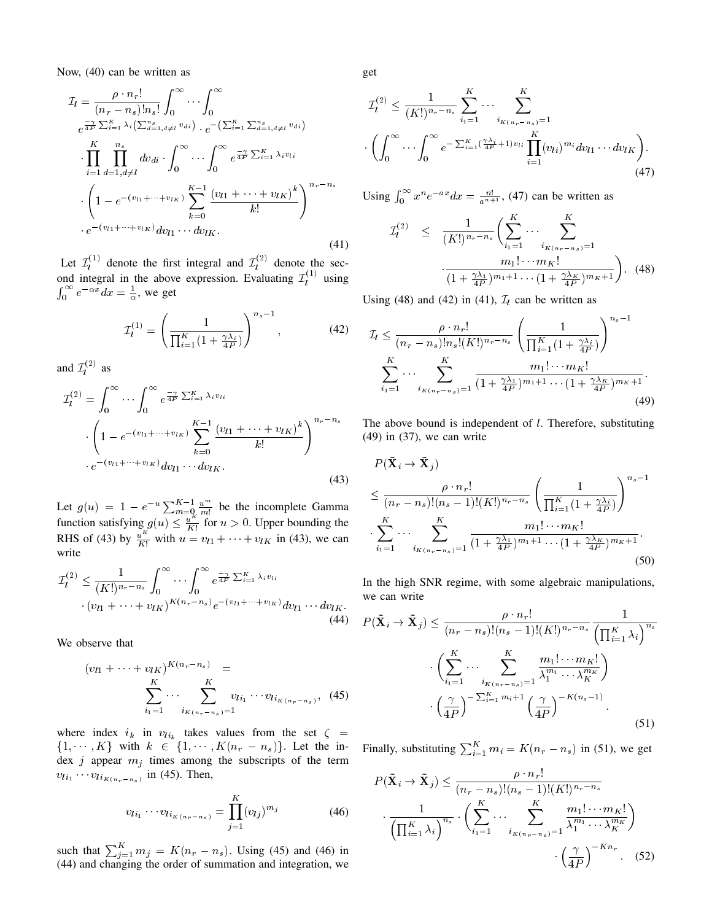Now, (40) can be written as

$$
\mathcal{I}_{l} = \frac{\rho \cdot n_{r}!}{(n_{r} - n_{s})!n_{s}!} \int_{0}^{\infty} \cdots \int_{0}^{\infty} \rho \frac{1}{4P} \sum_{i=1}^{K} \lambda_{i} (\sum_{d=1, d \neq l}^{n} v_{di}) \cdot e^{-\left(\sum_{i=1}^{K} \sum_{d=1, d \neq l}^{n} v_{di}\right)} \cdot e^{-\left(\sum_{i=1}^{K} \sum_{d=1, d \neq l}^{n} v_{di}\right)} \cdot \prod_{i=1}^{K} \prod_{d=1, d \neq l}^{n} dv_{di} \cdot \int_{0}^{\infty} \cdots \int_{0}^{\infty} e^{\frac{-\gamma}{4P} \sum_{i=1}^{K} \lambda_{i} v_{li}} \cdot \left(1 - e^{-(v_{l1} + \cdots + v_{lK})} \sum_{k=0}^{K-1} \frac{(v_{l1} + \cdots + v_{lK})^{k}}{k!}\right)^{n_{r} - n_{s}} \cdot e^{-(v_{l1} + \cdots + v_{lK})} dv_{l1} \cdots dv_{lK}.
$$
\n(41)

Let  $\mathcal{I}_l^{(1)}$  denote the first integral and  $\mathcal{I}_l^{(2)}$  denote the second integral in the above expression. Evaluating  $\mathcal{I}_l^{(1)}$  using  $\int_0^\infty e^{-\alpha x} dx = \frac{1}{\alpha}$ , we get

$$
\mathcal{I}_l^{(1)} = \left(\frac{1}{\prod_{i=1}^K (1 + \frac{\gamma \lambda_i}{4P})}\right)^{n_s - 1},\tag{42}
$$

and  $\mathcal{I}_l^{(2)}$  as

$$
\mathcal{I}_{l}^{(2)} = \int_{0}^{\infty} \cdots \int_{0}^{\infty} e^{\frac{-\gamma}{4F} \sum_{i=1}^{K} \lambda_{i} v_{li}} \cdot \left( 1 - e^{-(v_{l1} + \cdots + v_{lK})} \sum_{k=0}^{K-1} \frac{(v_{l1} + \cdots + v_{lK})^{k}}{k!} \right)^{n_{r} - n_{s}} \cdot e^{-(v_{l1} + \cdots + v_{lK})} dv_{l1} \cdots dv_{lK}.
$$
\n(43)

Let  $g(u) = 1 - e^{-u} \sum_{m=0}^{K-1} \frac{u^m}{m!}$  be the incomplete Gamma function satisfying  $g(u) \leq \frac{u^{k}}{k!}$  $\frac{u^{n}}{K!}$  for  $u > 0$ . Upper bounding the RHS of (43) by  $\frac{u^K}{K!}$  with  $u = v_{l1} + \cdots + v_{lK}$  in (43), we can write

$$
\mathcal{I}_l^{(2)} \leq \frac{1}{(K!)^{n_r - n_s}} \int_0^\infty \cdots \int_0^\infty e^{\frac{-\gamma}{4P} \sum_{i=1}^K \lambda_i v_{li}} \cdot (v_{l1} + \cdots + v_{lK})^{K(n_r - n_s)} e^{-(v_{l1} + \cdots + v_{lK})} dv_{l1} \cdots dv_{lK}.
$$
\n(44)

We observe that

$$
(v_{l1} + \dots + v_{lk})^{K(n_r - n_s)} =
$$
  

$$
\sum_{i_1=1}^K \dots \sum_{i_{K(n_r - n_s)}=1}^K v_{li_1} \dots v_{li_{K(n_r - n_s)}},
$$
 (45)

where index  $i_k$  in  $v_{li_k}$  takes values from the set  $\zeta$  =  $\{1, \dots, K\}$  with  $k \in \{1, \dots, K(n_r - n_s)\}.$  Let the index  $j$  appear  $m_j$  times among the subscripts of the term  $v_{li_1} \cdots v_{li_{K(n_r-n_s)}}$  in (45). Then,

$$
v_{li_1} \cdots v_{li_{K(n_r - n_s)}} = \prod_{j=1}^{K} (v_{lj})^{m_j}
$$
 (46)

such that  $\sum_{j=1}^{K} m_j = K(n_r - n_s)$ . Using (45) and (46) in (44) and changing the order of summation and integration, we get

$$
\mathcal{I}_l^{(2)} \leq \frac{1}{(K!)^{n_r - n_s}} \sum_{i_1=1}^K \cdots \sum_{i_{K(n_r - n_s)}=1}^K
$$

$$
\cdot \left( \int_0^\infty \cdots \int_0^\infty e^{-\sum_{i=1}^K (\frac{\gamma \lambda_i}{4P} + 1) v_{li}} \prod_{i=1}^K (v_{li})^{m_i} dv_{l_1} \cdots dv_{l_K} \right). \tag{47}
$$

Using  $\int_0^\infty x^n e^{-ax} dx = \frac{n!}{a^{n+1}}$ , (47) can be written as

$$
\mathcal{I}_l^{(2)} \leq \frac{1}{(K!)^{n_r - n_s}} \left( \sum_{i_1=1}^K \cdots \sum_{i_{K(n_r - n_s)}=1}^K \frac{m_1! \cdots m_K!}{(1 + \frac{\gamma \lambda_1}{4P})^{m_1 + 1} \cdots (1 + \frac{\gamma \lambda_K}{4P})^{m_K + 1}} \right). \tag{48}
$$

Using (48) and (42) in (41),  $\mathcal{I}_l$  can be written as

$$
\mathcal{I}_{l} \leq \frac{\rho \cdot n_{r}!}{(n_{r} - n_{s})! n_{s}! (K!)^{n_{r} - n_{s}}} \left(\frac{1}{\prod_{i=1}^{K} (1 + \frac{\gamma \lambda_{i}}{4P})}\right)^{n_{s} - 1}
$$

$$
\sum_{i_{1}=1}^{K} \cdots \sum_{i_{K} (n_{r} - n_{s})=1}^{K} \frac{m_{1}! \cdots m_{K}!}{(1 + \frac{\gamma \lambda_{1}}{4P})^{m_{1} + 1} \cdots (1 + \frac{\gamma \lambda_{K}}{4P})^{m_{K} + 1}}.
$$
(49)

The above bound is independent of  $l$ . Therefore, substituting (49) in (37), we can write

$$
P(\tilde{\mathbf{X}}_i \to \tilde{\mathbf{X}}_j)
$$
  
\n
$$
\leq \frac{\rho \cdot n_r!}{(n_r - n_s)!(n_s - 1)!(K!)^{n_r - n_s}} \left(\frac{1}{\prod_{i=1}^K (1 + \frac{\gamma \lambda_i}{4P})}\right)^{n_s - 1}
$$
  
\n
$$
\cdot \sum_{i_1=1}^K \cdots \sum_{i_{K(n_r - n_s)}=1}^K \frac{m_1! \cdots m_K!}{(1 + \frac{\gamma \lambda_1}{4P})^{m_1 + 1} \cdots (1 + \frac{\gamma \lambda_K}{4P})^{m_K + 1}}.
$$
\n(50)

In the high SNR regime, with some algebraic manipulations, we can write

$$
P(\tilde{\mathbf{X}}_i \to \tilde{\mathbf{X}}_j) \leq \frac{\rho \cdot n_r!}{(n_r - n_s)!(n_s - 1)!(K!)^{n_r - n_s}} \frac{1}{\left(\prod_{i=1}^K \lambda_i\right)^{n_s}}
$$

$$
\cdot \left(\sum_{i_1=1}^K \cdots \sum_{i_{K(n_r - n_s)}=1}^K \frac{m_1! \cdots m_K!}{\lambda_1^{m_1} \cdots \lambda_K^{m_K}}\right)
$$

$$
\cdot \left(\frac{\gamma}{4P}\right)^{-\sum_{i=1}^K m_i + 1} \left(\frac{\gamma}{4P}\right)^{-K(n_s - 1)}.
$$
(51)

Finally, substituting  $\sum_{i=1}^{K} m_i = K(n_r - n_s)$  in (51), we get

$$
P(\tilde{\mathbf{X}}_i \to \tilde{\mathbf{X}}_j) \leq \frac{\rho \cdot n_r!}{(n_r - n_s)!(n_s - 1)!(K!)^{n_r - n_s}}
$$

$$
\frac{1}{\left(\prod_{i=1}^K \lambda_i\right)^{n_s}} \cdot \left(\sum_{i_1=1}^K \cdots \sum_{i_{K(n_r - n_s)}=1}^K \frac{m_1! \cdots m_K!}{\lambda_1^{m_1} \cdots \lambda_K^{m_K}}\right)
$$

$$
\left(\frac{\gamma}{4P}\right)^{-Kn_r} \qquad (52)
$$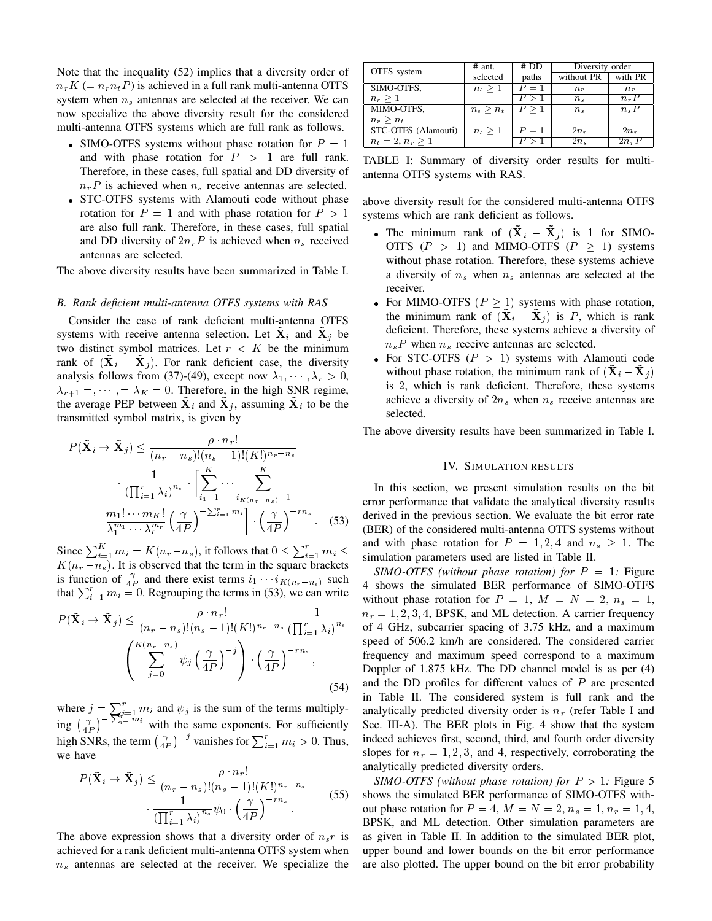Note that the inequality (52) implies that a diversity order of  $n_rK (= n_rn_tP)$  is achieved in a full rank multi-antenna OTFS system when  $n<sub>s</sub>$  antennas are selected at the receiver. We can now specialize the above diversity result for the considered multi-antenna OTFS systems which are full rank as follows.

- SIMO-OTFS systems without phase rotation for  $P = 1$ and with phase rotation for  $P > 1$  are full rank. Therefore, in these cases, full spatial and DD diversity of  $n_rP$  is achieved when  $n_s$  receive antennas are selected.
- STC-OTFS systems with Alamouti code without phase rotation for  $P = 1$  and with phase rotation for  $P > 1$ are also full rank. Therefore, in these cases, full spatial and DD diversity of  $2n_rP$  is achieved when  $n_s$  received antennas are selected.

The above diversity results have been summarized in Table I.

#### *B. Rank deficient multi-antenna OTFS systems with RAS*

Consider the case of rank deficient multi-antenna OTFS systems with receive antenna selection. Let  $X_i$  and  $X_j$  be two distinct symbol matrices. Let  $r < K$  be the minimum rank of  $(X_i - X_j)$ . For rank deficient case, the diversity analysis follows from (37)-(49), except now  $\lambda_1, \dots, \lambda_r > 0$ ,  $\lambda_{r+1} =$ ,  $\lambda_K = 0$ . Therefore, in the high SNR regime, the average PEP between  $\tilde{\mathbf{X}}_i$  and  $\tilde{\mathbf{X}}_j$ , assuming  $\tilde{\mathbf{X}}_i$  to be the transmitted symbol matrix, is given by

$$
P(\tilde{\mathbf{X}}_i \to \tilde{\mathbf{X}}_j) \leq \frac{\rho \cdot n_r!}{(n_r - n_s)!(n_s - 1)!(K!)^{n_r - n_s}}
$$

$$
\frac{1}{(\prod_{i=1}^r \lambda_i)^{n_s}} \cdot \left[\sum_{i_1=1}^K \cdots \sum_{i_K(n_r - n_s) = 1}^K
$$

$$
\frac{m_1! \cdots m_K!}{\lambda_1^{m_1} \cdots \lambda_r^{m_r}} \left(\frac{\gamma}{4P}\right)^{-\sum_{i=1}^r m_i} \cdot \left(\frac{\gamma}{4P}\right)^{-rn_s} \tag{53}
$$

Since  $\sum_{i=1}^{K} m_i = K(n_r - n_s)$ , it follows that  $0 \le \sum_{i=1}^{r} m_i \le$  $K(n_r - n_s)$ . It is observed that the term in the square brackets is function of  $\frac{\gamma}{4P}$  and there exist terms  $i_1 \cdots i_{K(n_r-n_s)}$  such that  $\sum_{i=1}^{r} m_i = 0$ . Regrouping the terms in (53), we can write

$$
P(\tilde{\mathbf{X}}_i \to \tilde{\mathbf{X}}_j) \leq \frac{\rho \cdot n_r!}{(n_r - n_s)!(n_s - 1)!(K!)^{n_r - n_s}} \frac{1}{\left(\prod_{i=1}^r \lambda_i\right)^{n_s}}
$$

$$
\left(\sum_{j=0}^{K(n_r - n_s)} \psi_j \left(\frac{\gamma}{4P}\right)^{-j}\right) \cdot \left(\frac{\gamma}{4P}\right)^{-rn_s},\tag{54}
$$

where  $j = \sum_{i=1}^r m_i$  and  $\psi_j$  is the sum of the terms multiplying  $\left(\frac{\gamma}{4P}\right)^{-\sum_{i=-m_i}^{n-m_i}}$  with the same exponents. For sufficiently high SNRs, the term  $\left(\frac{\gamma}{4P}\right)^{-j}$  vanishes for  $\sum_{i=1}^{r} m_i > 0$ . Thus, we have

$$
P(\tilde{\mathbf{X}}_i \to \tilde{\mathbf{X}}_j) \le \frac{\rho \cdot n_r!}{(n_r - n_s)!(n_s - 1)!(K!)^{n_r - n_s}}
$$

$$
\cdot \frac{1}{(\prod_{i=1}^r \lambda_i)^{n_s}} \psi_0 \cdot \left(\frac{\gamma}{4P}\right)^{-rn_s}
$$
(55)

The above expression shows that a diversity order of  $n_s r$  is achieved for a rank deficient multi-antenna OTFS system when  $n<sub>s</sub>$  antennas are selected at the receiver. We specialize the

| OTFS system         | $#$ ant.    | # DD  | Diversity order |           |
|---------------------|-------------|-------|-----------------|-----------|
|                     | selected    | paths | without PR      | with PR   |
| SIMO-OTFS.          | $n_s>1$     | $P=1$ | $n_{r}$         | $n_r$     |
| $n_r > 1$           |             | P > 1 | $n_{s}$         | $n_{r}P$  |
| MIMO-OTFS,          | $n_s > n_t$ | P > 1 | $n_{s}$         | $n_s P$   |
| $n_r > n_t$         |             |       |                 |           |
| STC-OTFS (Alamouti) | $n_s > 1$   | $P=1$ | $2n_r$          | $2n_r$    |
| $n_t = 2, n_r > 1$  |             |       | $2n_s$          | $2n_{r}P$ |

TABLE I: Summary of diversity order results for multiantenna OTFS systems with RAS.

above diversity result for the considered multi-antenna OTFS systems which are rank deficient as follows.

- The minimum rank of  $(X_i \tilde{X}_i)$  is 1 for SIMO-OTFS ( $P > 1$ ) and MIMO-OTFS ( $P \ge 1$ ) systems without phase rotation. Therefore, these systems achieve a diversity of  $n_s$  when  $n_s$  antennas are selected at the receiver.
- For MIMO-OTFS ( $P \ge 1$ ) systems with phase rotation, the minimum rank of  $(X_i - X_j)$  is P, which is rank deficient. Therefore, these systems achieve a diversity of  $n_s P$  when  $n_s$  receive antennas are selected.
- For STC-OTFS  $(P > 1)$  systems with Alamouti code without phase rotation, the minimum rank of  $(X_i - X_j)$ is 2, which is rank deficient. Therefore, these systems achieve a diversity of  $2n_s$  when  $n_s$  receive antennas are selected.

The above diversity results have been summarized in Table I.

# IV. SIMULATION RESULTS

In this section, we present simulation results on the bit error performance that validate the analytical diversity results derived in the previous section. We evaluate the bit error rate (BER) of the considered multi-antenna OTFS systems without and with phase rotation for  $P = 1, 2, 4$  and  $n_s > 1$ . The simulation parameters used are listed in Table II.

*SIMO-OTFS (without phase rotation) for*  $P = 1$ *: Figure* 4 shows the simulated BER performance of SIMO-OTFS without phase rotation for  $P = 1$ ,  $M = N = 2$ ,  $n_s = 1$ ,  $n_r = 1, 2, 3, 4$ , BPSK, and ML detection. A carrier frequency of 4 GHz, subcarrier spacing of 3.75 kHz, and a maximum speed of 506.2 km/h are considered. The considered carrier frequency and maximum speed correspond to a maximum Doppler of 1.875 kHz. The DD channel model is as per (4) and the DD profiles for different values of  $P$  are presented in Table II. The considered system is full rank and the analytically predicted diversity order is  $n_r$  (refer Table I and Sec. III-A). The BER plots in Fig. 4 show that the system indeed achieves first, second, third, and fourth order diversity slopes for  $n_r = 1, 2, 3$ , and 4, respectively, corroborating the analytically predicted diversity orders.

*SIMO-OTFS (without phase rotation) for*  $P > 1$ *: Figure 5* shows the simulated BER performance of SIMO-OTFS without phase rotation for  $P = 4$ ,  $M = N = 2$ ,  $n_s = 1$ ,  $n_r = 1, 4$ , BPSK, and ML detection. Other simulation parameters are as given in Table II. In addition to the simulated BER plot, upper bound and lower bounds on the bit error performance are also plotted. The upper bound on the bit error probability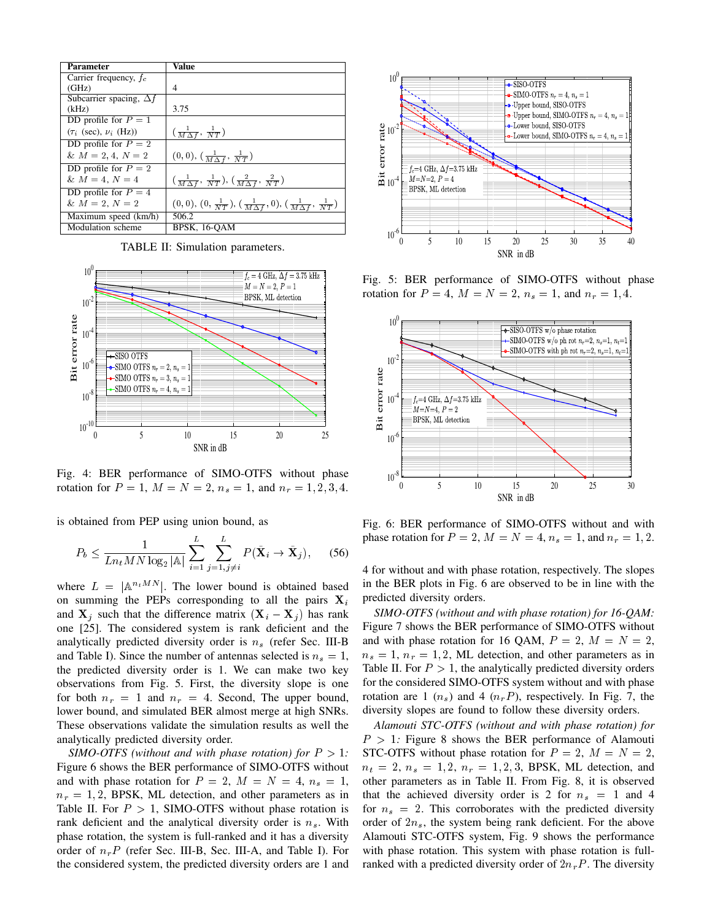| <b>Parameter</b>               | Value                                                                                          |
|--------------------------------|------------------------------------------------------------------------------------------------|
| Carrier frequency, $f_c$       |                                                                                                |
| (GHz)                          | 4                                                                                              |
| Subcarrier spacing, $\Delta f$ |                                                                                                |
| (kHz)                          | 3.75                                                                                           |
| DD profile for $P = 1$         |                                                                                                |
| $(\tau_i$ (sec), $\nu_i$ (Hz)) | $\left(\frac{1}{M\Delta f},\frac{1}{NT}\right)$                                                |
| DD profile for $P = 2$         |                                                                                                |
| & $M = 2, 4, N = 2$            | $(0,0), (\frac{1}{M\Delta f}, \frac{1}{NT})$                                                   |
| DD profile for $P = 2$         |                                                                                                |
| & $M = 4, N = 4$               | $\left(\frac{1}{M\Delta f},\frac{1}{NT}\right), \left(\frac{2}{M\Delta f},\frac{2}{NT}\right)$ |
| DD profile for $P = 4$         |                                                                                                |
| $& M = 2, N = 2$               | $(0,0), (0, \frac{1}{NT}), (\frac{1}{M\Delta f}, 0), (\frac{1}{M\Delta f}, \frac{1}{NT})$      |
| Maximum speed (km/h)           | 506.2                                                                                          |
| Modulation scheme              | BPSK, 16-OAM                                                                                   |

TABLE II: Simulation parameters.



Fig. 4: BER performance of SIMO-OTFS without phase rotation for  $P = 1$ ,  $M = N = 2$ ,  $n_s = 1$ , and  $n_r = 1, 2, 3, 4$ .

is obtained from PEP using union bound, as

$$
P_b \le \frac{1}{Ln_t M N \log_2 |\mathbb{A}|} \sum_{i=1}^{L} \sum_{j=1, j \ne i}^{L} P(\tilde{\mathbf{X}}_i \to \tilde{\mathbf{X}}_j), \quad (56)
$$

where  $L = |\mathbb{A}^{n_t MN}|$ . The lower bound is obtained based on summing the PEPs corresponding to all the pairs  $X_i$ and  $X_i$  such that the difference matrix  $(X_i - X_j)$  has rank one [25]. The considered system is rank deficient and the analytically predicted diversity order is  $n<sub>s</sub>$  (refer Sec. III-B and Table I). Since the number of antennas selected is  $n_s = 1$ , the predicted diversity order is 1. We can make two key observations from Fig. 5. First, the diversity slope is one for both  $n_r = 1$  and  $n_r = 4$ . Second, The upper bound, lower bound, and simulated BER almost merge at high SNRs. These observations validate the simulation results as well the analytically predicted diversity order.

*SIMO-OTFS (without and with phase rotation) for* P > 1*:* Figure 6 shows the BER performance of SIMO-OTFS without and with phase rotation for  $P = 2$ ,  $M = N = 4$ ,  $n_s = 1$ ,  $n_r = 1, 2$ , BPSK, ML detection, and other parameters as in Table II. For  $P > 1$ , SIMO-OTFS without phase rotation is rank deficient and the analytical diversity order is  $n<sub>s</sub>$ . With phase rotation, the system is full-ranked and it has a diversity order of  $n_rP$  (refer Sec. III-B, Sec. III-A, and Table I). For



Fig. 5: BER performance of SIMO-OTFS without phase rotation for  $P = 4$ ,  $M = N = 2$ ,  $n_s = 1$ , and  $n_r = 1, 4$ .



Fig. 6: BER performance of SIMO-OTFS without and with phase rotation for  $P = 2$ ,  $M = N = 4$ ,  $n_s = 1$ , and  $n_r = 1, 2$ .

4 for without and with phase rotation, respectively. The slopes in the BER plots in Fig. 6 are observed to be in line with the predicted diversity orders.

*SIMO-OTFS (without and with phase rotation) for 16-QAM:* Figure 7 shows the BER performance of SIMO-OTFS without and with phase rotation for 16 QAM,  $P = 2$ ,  $M = N = 2$ ,  $n_s = 1$ ,  $n_r = 1, 2$ , ML detection, and other parameters as in Table II. For  $P > 1$ , the analytically predicted diversity orders for the considered SIMO-OTFS system without and with phase rotation are 1  $(n_s)$  and 4  $(n_rP)$ , respectively. In Fig. 7, the diversity slopes are found to follow these diversity orders.

*Alamouti STC-OTFS (without and with phase rotation) for*  $P > 1$ : Figure 8 shows the BER performance of Alamouti STC-OTFS without phase rotation for  $P = 2$ ,  $M = N = 2$ ,  $n_t = 2, n_s = 1, 2, n_r = 1, 2, 3$ , BPSK, ML detection, and other parameters as in Table II. From Fig. 8, it is observed that the achieved diversity order is 2 for  $n_s = 1$  and 4 for  $n_s = 2$ . This corroborates with the predicted diversity order of  $2n<sub>s</sub>$ , the system being rank deficient. For the above Alamouti STC-OTFS system, Fig. 9 shows the performance with phase rotation. This system with phase rotation is fullranked with a predicted diversity order of  $2n<sub>r</sub>P$ . The diversity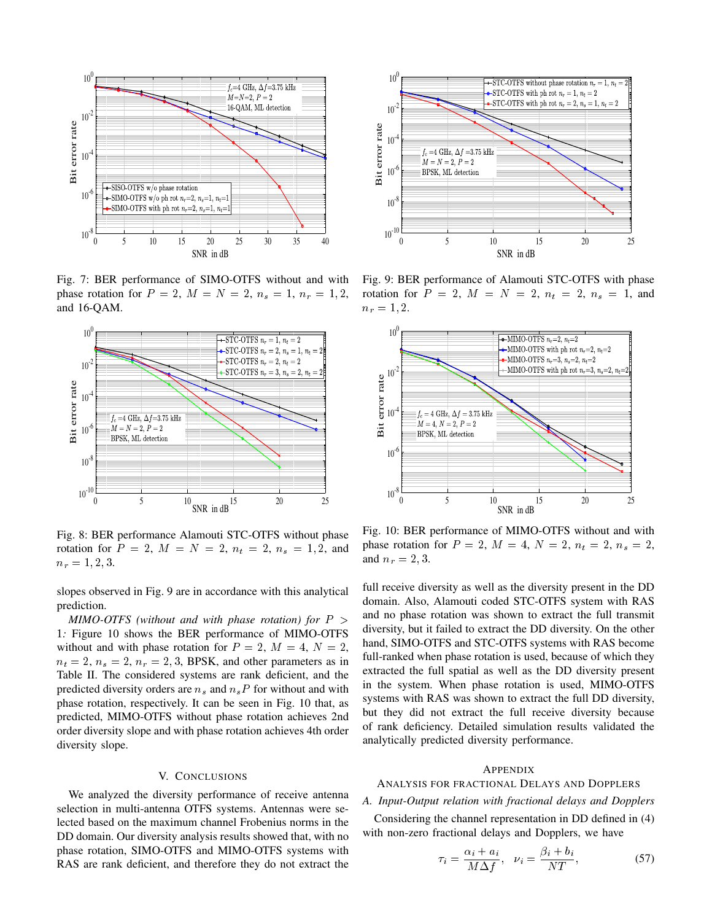

Fig. 7: BER performance of SIMO-OTFS without and with phase rotation for  $P = 2$ ,  $M = N = 2$ ,  $n_s = 1$ ,  $n_r = 1, 2$ , and 16-QAM.



Fig. 8: BER performance Alamouti STC-OTFS without phase rotation for  $P = 2$ ,  $M = N = 2$ ,  $n_t = 2$ ,  $n_s = 1, 2$ , and  $n_r = 1, 2, 3.$ 

slopes observed in Fig. 9 are in accordance with this analytical prediction.

*MIMO-OTFS (without and with phase rotation) for* P > 1*:* Figure 10 shows the BER performance of MIMO-OTFS without and with phase rotation for  $P = 2$ ,  $M = 4$ ,  $N = 2$ ,  $n_t = 2$ ,  $n_s = 2$ ,  $n_r = 2, 3$ , BPSK, and other parameters as in Table II. The considered systems are rank deficient, and the predicted diversity orders are  $n_s$  and  $n_sP$  for without and with phase rotation, respectively. It can be seen in Fig. 10 that, as predicted, MIMO-OTFS without phase rotation achieves 2nd order diversity slope and with phase rotation achieves 4th order diversity slope.

### V. CONCLUSIONS

We analyzed the diversity performance of receive antenna selection in multi-antenna OTFS systems. Antennas were selected based on the maximum channel Frobenius norms in the DD domain. Our diversity analysis results showed that, with no phase rotation, SIMO-OTFS and MIMO-OTFS systems with



Fig. 9: BER performance of Alamouti STC-OTFS with phase rotation for  $P = 2$ ,  $M = N = 2$ ,  $n_t = 2$ ,  $n_s = 1$ , and  $n_r = 1, 2.$ 



Fig. 10: BER performance of MIMO-OTFS without and with phase rotation for  $P = 2$ ,  $M = 4$ ,  $N = 2$ ,  $n_t = 2$ ,  $n_s = 2$ , and  $n_r = 2, 3$ .

full receive diversity as well as the diversity present in the DD domain. Also, Alamouti coded STC-OTFS system with RAS and no phase rotation was shown to extract the full transmit diversity, but it failed to extract the DD diversity. On the other hand, SIMO-OTFS and STC-OTFS systems with RAS become full-ranked when phase rotation is used, because of which they extracted the full spatial as well as the DD diversity present in the system. When phase rotation is used, MIMO-OTFS systems with RAS was shown to extract the full DD diversity, but they did not extract the full receive diversity because of rank deficiency. Detailed simulation results validated the analytically predicted diversity performance.

# APPENDIX

# ANALYSIS FOR FRACTIONAL DELAYS AND DOPPLERS

# *A. Input-Output relation with fractional delays and Dopplers*

Considering the channel representation in DD defined in (4) with non-zero fractional delays and Dopplers, we have

$$
\tau_i = \frac{\alpha_i + a_i}{M \Delta f}, \quad \nu_i = \frac{\beta_i + b_i}{NT}, \tag{57}
$$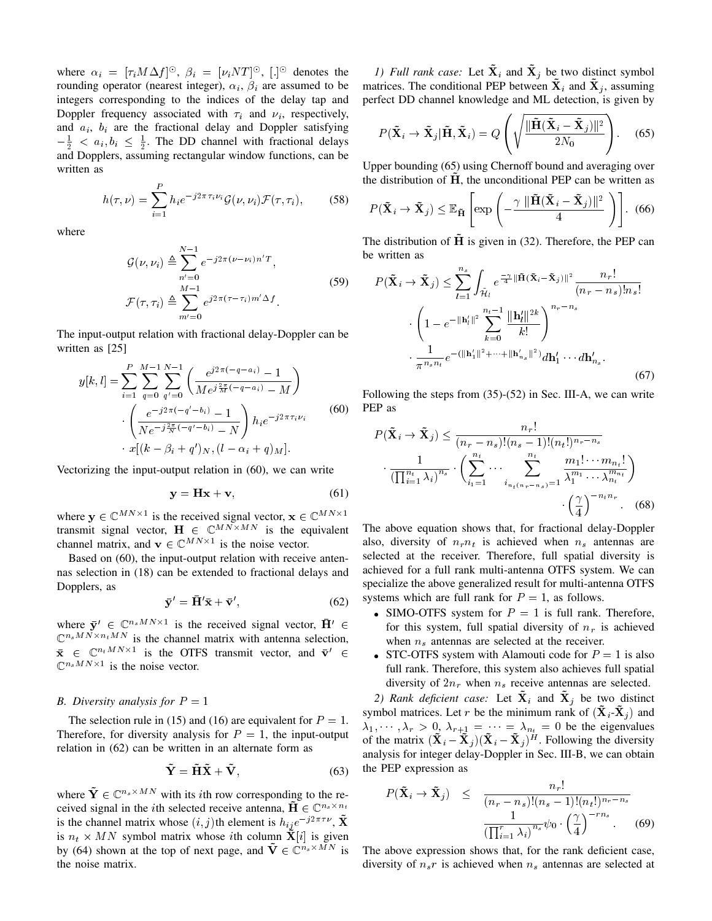where  $\alpha_i = [\tau_i M \Delta f]^\odot$ ,  $\beta_i = [\nu_i N T]^\odot$ ,  $[.]^\odot$  denotes the rounding operator (nearest integer),  $\alpha_i$ ,  $\beta_i$  are assumed to be integers corresponding to the indices of the delay tap and Doppler frequency associated with  $\tau_i$  and  $\nu_i$ , respectively, and  $a_i$ ,  $b_i$  are the fractional delay and Doppler satisfying  $-\frac{1}{2} < a_i, b_i \leq \frac{1}{2}$ . The DD channel with fractional delays and Dopplers, assuming rectangular window functions, can be written as

$$
h(\tau,\nu) = \sum_{i=1}^{P} h_i e^{-j2\pi\tau_i \nu_i} \mathcal{G}(\nu,\nu_i) \mathcal{F}(\tau,\tau_i), \qquad (58)
$$

where

$$
\mathcal{G}(\nu, \nu_i) \triangleq \sum_{n'=0}^{N-1} e^{-j2\pi(\nu - \nu_i)n'T},
$$
  

$$
\mathcal{F}(\tau, \tau_i) \triangleq \sum_{m'=0}^{M-1} e^{j2\pi(\tau - \tau_i)m'\Delta f}.
$$
 (59)

The input-output relation with fractional delay-Doppler can be written as [25]

$$
y[k,l] = \sum_{i=1}^{P} \sum_{q=0}^{M-1} \sum_{q'=0}^{N-1} \left( \frac{e^{j2\pi(-q-a_i)} - 1}{Me^{j\frac{2\pi}{M}(-q-a_i)} - M} \right)
$$

$$
\cdot \left( \frac{e^{-j2\pi(-q'-b_i)} - 1}{Ne^{-j\frac{2\pi}{N}(-q'-b_i)} - N} \right) h_i e^{-j2\pi\tau_i \nu_i}
$$
(60)
$$
\cdot x[(k - \beta_i + q')_N, (l - \alpha_i + q)_M].
$$

Vectorizing the input-output relation in (60), we can write

$$
y = Hx + v,\t(61)
$$

where  $y \in \mathbb{C}^{MN \times 1}$  is the received signal vector,  $x \in \mathbb{C}^{MN \times 1}$ transmit signal vector,  $\mathbf{H} \in \mathbb{C}^{MN \times MN}$  is the equivalent channel matrix, and  $\mathbf{v} \in \mathbb{C}^{MN \times 1}$  is the noise vector.

Based on (60), the input-output relation with receive antennas selection in (18) can be extended to fractional delays and Dopplers, as

$$
\bar{\mathbf{y}}' = \bar{\mathbf{H}}' \bar{\mathbf{x}} + \bar{\mathbf{v}}',\tag{62}
$$

where  $\bar{y}' \in \mathbb{C}^{n_s MN \times 1}$  is the received signal vector,  $\bar{H}' \in$  $\mathbb{C}^{n_s MN \times n_t MN}$  is the channel matrix with antenna selection,  $\bar{\mathbf{x}} \in \mathbb{C}^{n_t MN \times 1}$  is the OTFS transmit vector, and  $\bar{\mathbf{v}}' \in$  $\mathbb{C}^{n_s MN \times 1}$  is the noise vector.

# *B. Diversity analysis for*  $P = 1$

The selection rule in (15) and (16) are equivalent for  $P = 1$ . Therefore, for diversity analysis for  $P = 1$ , the input-output relation in (62) can be written in an alternate form as

$$
\tilde{\mathbf{Y}} = \tilde{\mathbf{H}} \tilde{\mathbf{X}} + \tilde{\mathbf{V}},\tag{63}
$$

where  $\tilde{\mathbf{Y}} \in \mathbb{C}^{n_s \times MN}$  with its *i*th row corresponding to the received signal in the *i*th selected receive antenna,  $\tilde{H} \in \mathbb{C}^{n_s \times n_t}$ is the channel matrix whose  $(i, j)$ th element is  $h_{ij}e^{-j2\pi\tau\nu}$ ,  $\tilde{\mathbf{X}}$ is  $n_t \times MN$  symbol matrix whose *i*th column  $\mathbf{\tilde{X}}[i]$  is given by (64) shown at the top of next page, and  $\tilde{\mathbf{V}} \in \mathbb{C}^{n_s \times \tilde{M}N}$  is the noise matrix.

*1) Full rank case:* Let  $X_i$  and  $X_j$  be two distinct symbol matrices. The conditional PEP between  $X_i$  and  $X_j$ , assuming perfect DD channel knowledge and ML detection, is given by

$$
P(\tilde{\mathbf{X}}_i \to \tilde{\mathbf{X}}_j | \tilde{\mathbf{H}}, \tilde{\mathbf{X}}_i) = Q\left(\sqrt{\frac{\|\tilde{\mathbf{H}}(\tilde{\mathbf{X}}_i - \tilde{\mathbf{X}}_j)\|^2}{2N_0}}\right).
$$
 (65)

Upper bounding (65) using Chernoff bound and averaging over the distribution of  $H$ , the unconditional PEP can be written as

$$
P(\tilde{\mathbf{X}}_i \to \tilde{\mathbf{X}}_j) \leq \mathbb{E}_{\tilde{\mathbf{H}}} \left[ \exp \left( -\frac{\gamma \, \|\tilde{\mathbf{H}} (\tilde{\mathbf{X}}_i - \tilde{\mathbf{X}}_j)\|^2}{4} \right) \right].
$$
 (66)

The distribution of  $H$  is given in (32). Therefore, the PEP can be written as

$$
P(\tilde{\mathbf{X}}_{i} \to \tilde{\mathbf{X}}_{j}) \leq \sum_{l=1}^{n_{s}} \int_{\tilde{\mathcal{H}}_{l}} e^{-\frac{\tilde{\mathbf{x}}}{4} \|\tilde{\mathbf{H}}(\tilde{\mathbf{X}}_{i} - \tilde{\mathbf{X}}_{j})\|^{2}} \frac{n_{r}!}{(n_{r} - n_{s})! n_{s}!}
$$

$$
\cdot \left(1 - e^{-\|\mathbf{h}_{l}'\|^{2}} \sum_{k=0}^{n_{t}-1} \frac{\|\mathbf{h}_{l}'\|^{2k}}{k!}\right)^{n_{r} - n_{s}}
$$

$$
\cdot \frac{1}{\pi^{n_{s}n_{t}}} e^{-\left(\|\mathbf{h}_{1}'\|^{2} + \dots + \|\mathbf{h}_{n_{s}}'\|^{2}\right)} d\mathbf{h}_{1}' \dots d\mathbf{h}_{n_{s}}'.
$$
(67)

Following the steps from (35)-(52) in Sec. III-A, we can write PEP as

$$
P(\tilde{\mathbf{X}}_i \to \tilde{\mathbf{X}}_j) \le \frac{n_r!}{(n_r - n_s)!(n_s - 1)!(n_t!)^{n_r - n_s}}
$$

$$
\frac{1}{(\prod_{i=1}^{n_t} \lambda_i)^{n_s}} \cdot \left(\sum_{i_1=1}^{n_t} \cdots \sum_{i_{n_t(n_r - n_s)}=1}^{n_t} \frac{m_1! \cdots m_{n_t}!}{\lambda_1^{m_1} \cdots \lambda_{n_t}^{m_{n_t}}}\right)
$$

$$
\cdot \left(\frac{\gamma}{4}\right)^{-n_t n_r} .
$$
(68)

The above equation shows that, for fractional delay-Doppler also, diversity of  $n_r n_t$  is achieved when  $n_s$  antennas are selected at the receiver. Therefore, full spatial diversity is achieved for a full rank multi-antenna OTFS system. We can specialize the above generalized result for multi-antenna OTFS systems which are full rank for  $P = 1$ , as follows.

- SIMO-OTFS system for  $P = 1$  is full rank. Therefore, for this system, full spatial diversity of  $n_r$  is achieved when  $n_s$  antennas are selected at the receiver.
- STC-OTFS system with Alamouti code for  $P = 1$  is also full rank. Therefore, this system also achieves full spatial diversity of  $2n_r$  when  $n_s$  receive antennas are selected.

2) Rank deficient case: Let  $\tilde{\mathbf{X}}_i$  and  $\tilde{\mathbf{X}}_j$  be two distinct symbol matrices. Let r be the minimum rank of  $(X_i-X_j)$  and  $\lambda_1, \dots, \lambda_r > 0, \lambda_{r+1} = \dots = \lambda_{n_t} = 0$  be the eigenvalues of the matrix  $(\tilde{\mathbf{X}}_i - \tilde{\mathbf{X}}_j)(\tilde{\mathbf{X}}_i - \tilde{\mathbf{X}}_j)^H$ . Following the diversity analysis for integer delay-Doppler in Sec. III-B, we can obtain the PEP expression as

$$
P(\tilde{\mathbf{X}}_i \to \tilde{\mathbf{X}}_j) \le \frac{n_r!}{(n_r - n_s)!(n_s - 1)!(n_t!)^{n_r - n_s}}
$$

$$
\frac{1}{\left(\prod_{i=1}^r \lambda_i\right)^{n_s}} \psi_0 \cdot \left(\frac{\gamma}{4}\right)^{-rn_s} \tag{69}
$$

The above expression shows that, for the rank deficient case, diversity of  $n_s r$  is achieved when  $n_s$  antennas are selected at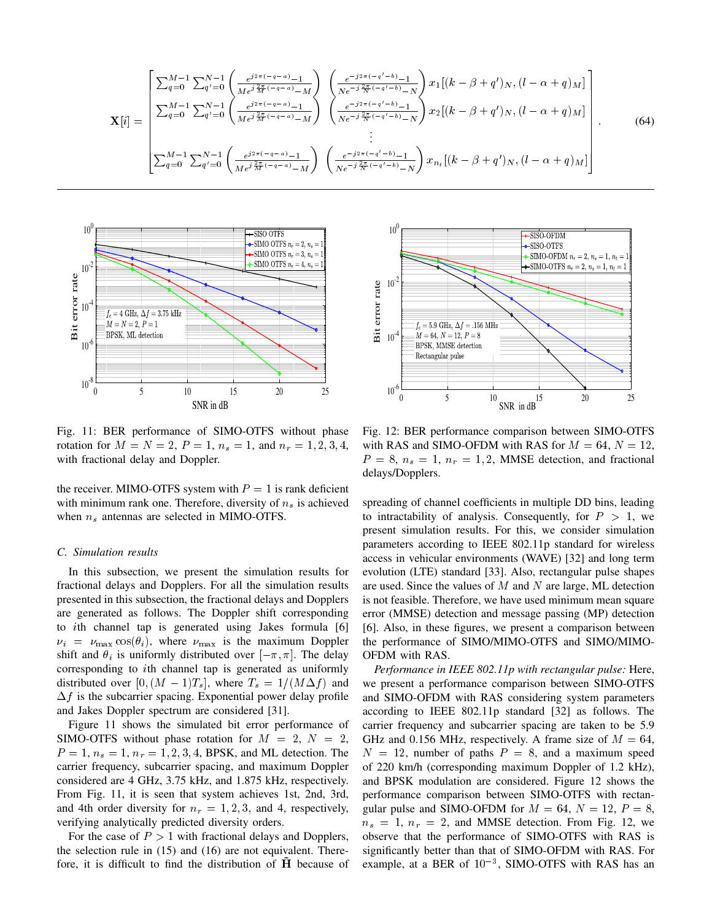$$
\mathbf{X}[i] = \begin{bmatrix} \sum_{q=0}^{M-1} \sum_{q'=0}^{N-1} \left( \frac{e^{j2\pi(-q-a)} - 1}{Me^{j\frac{2\pi}{M}(-q-a)} - M} \right) & \left( \frac{e^{-j2\pi(-q'-b)} - 1}{Ne^{-j\frac{2\pi}{N}(-q'-b)} - N} \right) x_1[(k-\beta+q')_N, (l-\alpha+q)_M] \\ \sum_{q=0}^{M-1} \sum_{q'=0}^{N-1} \left( \frac{e^{j2\pi(-q-a)} - 1}{Me^{j\frac{2\pi}{M}(-q-a)} - M} \right) & \left( \frac{e^{-j2\pi(-q'-b)} - 1}{Ne^{-j\frac{2\pi}{N}(-q'-b)} - N} \right) x_2[(k-\beta+q')_N, (l-\alpha+q)_M] \\ \vdots & \vdots \\ \sum_{q=0}^{M-1} \sum_{q'=0}^{N-1} \left( \frac{e^{j2\pi(-q-a)} - 1}{Me^{j\frac{2\pi}{M}(-q-a)} - M} \right) & \left( \frac{e^{-j2\pi(-q'-b)} - 1}{Ne^{-j\frac{2\pi}{N}(-q'-b)} - N} \right) x_{n_t}[(k-\beta+q')_N, (l-\alpha+q)_M] \end{bmatrix} . \tag{64}
$$



Fig. 11: BER performance of SIMO-OTFS without phase rotation for  $M = N = 2$ ,  $P = 1$ ,  $n_s = 1$ , and  $n_r = 1, 2, 3, 4$ , with fractional delay and Doppler.

the receiver. MIMO-OTFS system with  $P = 1$  is rank deficient with minimum rank one. Therefore, diversity of  $n<sub>s</sub>$  is achieved when  $n_s$  antennas are selected in MIMO-OTFS.

# *C. Simulation results*

In this subsection, we present the simulation results for fractional delays and Dopplers. For all the simulation results presented in this subsection, the fractional delays and Dopplers are generated as follows. The Doppler shift corresponding to ith channel tap is generated using Jakes formula [6]  $\nu_i = \nu_{\text{max}} \cos(\theta_i)$ , where  $\nu_{\text{max}}$  is the maximum Doppler shift and  $\theta_i$  is uniformly distributed over  $[-\pi, \pi]$ . The delay corresponding to ith channel tap is generated as uniformly distributed over  $[0, (M - 1)T_s]$ , where  $T_s = 1/(M\Delta f)$  and  $\Delta f$  is the subcarrier spacing. Exponential power delay profile and Jakes Doppler spectrum are considered [31].

Figure 11 shows the simulated bit error performance of SIMO-OTFS without phase rotation for  $M = 2$ ,  $N = 2$ ,  $P = 1, n_s = 1, n_r = 1, 2, 3, 4$ , BPSK, and ML detection. The carrier frequency, subcarrier spacing, and maximum Doppler considered are 4 GHz, 3.75 kHz, and 1.875 kHz, respectively. From Fig. 11, it is seen that system achieves 1st, 2nd, 3rd, and 4th order diversity for  $n_r = 1, 2, 3$ , and 4, respectively, verifying analytically predicted diversity orders.

For the case of  $P > 1$  with fractional delays and Dopplers, the selection rule in (15) and (16) are not equivalent. There-



Fig. 12: BER performance comparison between SIMO-OTFS with RAS and SIMO-OFDM with RAS for  $M = 64$ ,  $N = 12$ ,  $P = 8$ ,  $n_s = 1$ ,  $n_r = 1, 2$ , MMSE detection, and fractional delays/Dopplers.

spreading of channel coefficients in multiple DD bins, leading to intractability of analysis. Consequently, for  $P > 1$ , we present simulation results. For this, we consider simulation parameters according to IEEE 802.11p standard for wireless access in vehicular environments (WAVE) [32] and long term evolution (LTE) standard [33]. Also, rectangular pulse shapes are used. Since the values of  $M$  and  $N$  are large, ML detection is not feasible. Therefore, we have used minimum mean square error (MMSE) detection and message passing (MP) detection [6]. Also, in these figures, we present a comparison between the performance of SIMO/MIMO-OTFS and SIMO/MIMO-OFDM with RAS.

Fig. 11: BER performance of SIMO-07FS without these Fig. 12: BER performance comparison between SIMO-OFFIN with reaction for  $\hat{M} = N - \hat{M}$ ,  $\hat{M} = 1$ ,  $u_r = 1$ ,  $u_r = 1$ ,  $u_r = 1$ ,  $u_r = 1$ ,  $u_r = 1$ ,  $u_r = 1$ ,  $u_r = 1$ ,  $u_r =$ *Performance in IEEE 802.11p with rectangular pulse:* Here, we present a performance comparison between SIMO-OTFS and SIMO-OFDM with RAS considering system parameters according to IEEE 802.11p standard [32] as follows. The carrier frequency and subcarrier spacing are taken to be 5.9 GHz and 0.156 MHz, respectively. A frame size of  $M = 64$ ,  $N = 12$ , number of paths  $P = 8$ , and a maximum speed of 220 km/h (corresponding maximum Doppler of 1.2 kHz), and BPSK modulation are considered. Figure 12 shows the performance comparison between SIMO-OTFS with rectangular pulse and SIMO-OFDM for  $M = 64$ ,  $N = 12$ ,  $P = 8$ ,  $n_s = 1$ ,  $n_r = 2$ , and MMSE detection. From Fig. 12, we observe that the performance of SIMO-OTFS with RAS is significantly better than that of SIMO-OFDM with RAS. For example, at a BER of  $10^{-3}$ , SIMO-OTFS with RAS has an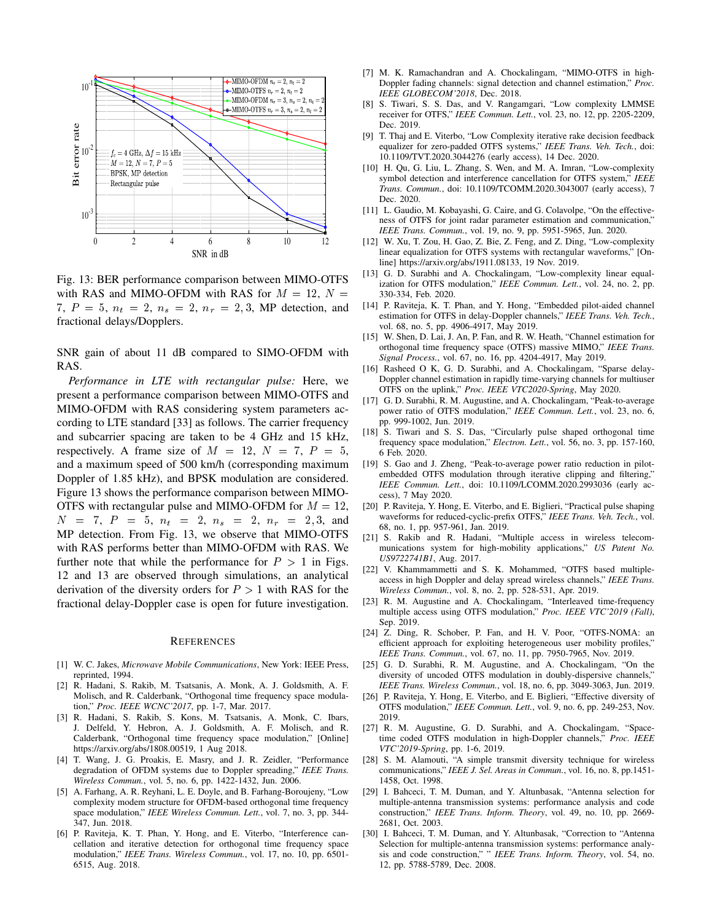

Fig. 13: BER performance comparison between MIMO-OTFS with RAS and MIMO-OFDM with RAS for  $M = 12$ ,  $N =$ 7,  $P = 5$ ,  $n_t = 2$ ,  $n_s = 2$ ,  $n_r = 2, 3$ , MP detection, and fractional delays/Dopplers.

SNR gain of about 11 dB compared to SIMO-OFDM with RAS.

*Performance in LTE with rectangular pulse:* Here, we present a performance comparison between MIMO-OTFS and MIMO-OFDM with RAS considering system parameters according to LTE standard [33] as follows. The carrier frequency and subcarrier spacing are taken to be 4 GHz and 15 kHz, respectively. A frame size of  $M = 12$ ,  $N = 7$ ,  $P = 5$ , and a maximum speed of 500 km/h (corresponding maximum Doppler of 1.85 kHz), and BPSK modulation are considered. Figure 13 shows the performance comparison between MIMO-OTFS with rectangular pulse and MIMO-OFDM for  $M = 12$ ,  $N = 7, P = 5, n_t = 2, n_s = 2, n_r = 2, 3,$  and MP detection. From Fig. 13, we observe that MIMO-OTFS with RAS performs better than MIMO-OFDM with RAS. We further note that while the performance for  $P > 1$  in Figs. 12 and 13 are observed through simulations, an analytical derivation of the diversity orders for  $P > 1$  with RAS for the fractional delay-Doppler case is open for future investigation.

#### **REFERENCES**

- [1] W. C. Jakes, *Microwave Mobile Communications*, New York: IEEE Press, reprinted, 1994.
- [2] R. Hadani, S. Rakib, M. Tsatsanis, A. Monk, A. J. Goldsmith, A. F. Molisch, and R. Calderbank, "Orthogonal time frequency space modulation," *Proc. IEEE WCNC'2017*, pp. 1-7, Mar. 2017.
- [3] R. Hadani, S. Rakib, S. Kons, M. Tsatsanis, A. Monk, C. Ibars, J. Delfeld, Y. Hebron, A. J. Goldsmith, A. F. Molisch, and R. Calderbank, "Orthogonal time frequency space modulation," [Online] https://arxiv.org/abs/1808.00519, 1 Aug 2018.
- [4] T. Wang, J. G. Proakis, E. Masry, and J. R. Zeidler, "Performance degradation of OFDM systems due to Doppler spreading," *IEEE Trans. Wireless Commun.*, vol. 5, no. 6, pp. 1422-1432, Jun. 2006.
- [5] A. Farhang, A. R. Reyhani, L. E. Doyle, and B. Farhang-Boroujeny, "Low complexity modem structure for OFDM-based orthogonal time frequency space modulation," *IEEE Wireless Commun. Lett.*, vol. 7, no. 3, pp. 344- 347, Jun. 2018.
- [6] P. Raviteja, K. T. Phan, Y. Hong, and E. Viterbo, "Interference cancellation and iterative detection for orthogonal time frequency space modulation," *IEEE Trans. Wireless Commun.*, vol. 17, no. 10, pp. 6501- 6515, Aug. 2018.
- [7] M. K. Ramachandran and A. Chockalingam, "MIMO-OTFS in high-Doppler fading channels: signal detection and channel estimation," *Proc. IEEE GLOBECOM'2018*, Dec. 2018.
- [8] S. Tiwari, S. S. Das, and V. Rangamgari, "Low complexity LMMSE receiver for OTFS," *IEEE Commun. Lett.*, vol. 23, no. 12, pp. 2205-2209, Dec. 2019.
- [9] T. Thaj and E. Viterbo, "Low Complexity iterative rake decision feedback equalizer for zero-padded OTFS systems," *IEEE Trans. Veh. Tech.*, doi: 10.1109/TVT.2020.3044276 (early access), 14 Dec. 2020.
- [10] H. Qu, G. Liu, L. Zhang, S. Wen, and M. A. Imran, "Low-complexity symbol detection and interference cancellation for OTFS system," *IEEE Trans. Commun.*, doi: 10.1109/TCOMM.2020.3043007 (early access), 7 Dec. 2020.
- [11] L. Gaudio, M. Kobayashi, G. Caire, and G. Colavolpe, "On the effectiveness of OTFS for joint radar parameter estimation and communication," *IEEE Trans. Commun.*, vol. 19, no. 9, pp. 5951-5965, Jun. 2020.
- [12] W. Xu, T. Zou, H. Gao, Z. Bie, Z. Feng, and Z. Ding, "Low-complexity linear equalization for OTFS systems with rectangular waveforms," [Online] https://arxiv.org/abs/1911.08133, 19 Nov. 2019.
- [13] G. D. Surabhi and A. Chockalingam, "Low-complexity linear equalization for OTFS modulation," *IEEE Commun. Lett.*, vol. 24, no. 2, pp. 330-334, Feb. 2020.
- [14] P. Raviteja, K. T. Phan, and Y. Hong, "Embedded pilot-aided channel estimation for OTFS in delay-Doppler channels," *IEEE Trans. Veh. Tech.*, vol. 68, no. 5, pp. 4906-4917, May 2019.
- [15] W. Shen, D. Lai, J. An, P. Fan, and R. W. Heath, "Channel estimation for orthogonal time frequency space (OTFS) massive MIMO," *IEEE Trans. Signal Process.*, vol. 67, no. 16, pp. 4204-4917, May 2019.
- [16] Rasheed O K, G. D. Surabhi, and A. Chockalingam, "Sparse delay-Doppler channel estimation in rapidly time-varying channels for multiuser OTFS on the uplink," *Proc. IEEE VTC2020-Spring*, May 2020.
- [17] G. D. Surabhi, R. M. Augustine, and A. Chockalingam, "Peak-to-average power ratio of OTFS modulation," *IEEE Commun. Lett.*, vol. 23, no. 6, pp. 999-1002, Jun. 2019.
- [18] S. Tiwari and S. S. Das, "Circularly pulse shaped orthogonal time frequency space modulation," *Electron. Lett.*, vol. 56, no. 3, pp. 157-160, 6 Feb. 2020.
- [19] S. Gao and J. Zheng, "Peak-to-average power ratio reduction in pilotembedded OTFS modulation through iterative clipping and filtering," *IEEE Commun. Lett.*, doi: 10.1109/LCOMM.2020.2993036 (early access), 7 May 2020.
- [20] P. Raviteja, Y. Hong, E. Viterbo, and E. Biglieri, "Practical pulse shaping waveforms for reduced-cyclic-prefix OTFS," *IEEE Trans. Veh. Tech.*, vol. 68, no. 1, pp. 957-961, Jan. 2019.
- [21] S. Rakib and R. Hadani, "Multiple access in wireless telecommunications system for high-mobility applications," *US Patent No. US9722741B1*, Aug. 2017.
- [22] V. Khammammetti and S. K. Mohammed, "OTFS based multipleaccess in high Doppler and delay spread wireless channels," *IEEE Trans. Wireless Commun.*, vol. 8, no. 2, pp. 528-531, Apr. 2019.
- [23] R. M. Augustine and A. Chockalingam, "Interleaved time-frequency multiple access using OTFS modulation," *Proc. IEEE VTC'2019 (Fall)*, Sep. 2019.
- [24] Z. Ding, R. Schober, P. Fan, and H. V. Poor, "OTFS-NOMA: an efficient approach for exploiting heterogeneous user mobility profiles," *IEEE Trans. Commun.*, vol. 67, no. 11, pp. 7950-7965, Nov. 2019.
- [25] G. D. Surabhi, R. M. Augustine, and A. Chockalingam, "On the diversity of uncoded OTFS modulation in doubly-dispersive channels," *IEEE Trans. Wireless Commun.*, vol. 18, no. 6, pp. 3049-3063, Jun. 2019.
- [26] P. Raviteja, Y. Hong, E. Viterbo, and E. Biglieri, "Effective diversity of OTFS modulation," *IEEE Commun. Lett.*, vol. 9, no. 6, pp. 249-253, Nov. 2019.
- [27] R. M. Augustine, G. D. Surabhi, and A. Chockalingam, "Spacetime coded OTFS modulation in high-Doppler channels," *Proc. IEEE VTC'2019-Spring*, pp. 1-6, 2019.
- [28] S. M. Alamouti, "A simple transmit diversity technique for wireless communications," *IEEE J. Sel. Areas in Commun.*, vol. 16, no. 8, pp.1451- 1458, Oct. 1998.
- [29] I. Bahceci, T. M. Duman, and Y. Altunbasak, "Antenna selection for multiple-antenna transmission systems: performance analysis and code construction," *IEEE Trans. Inform. Theory*, vol. 49, no. 10, pp. 2669- 2681, Oct. 2003.
- [30] I. Bahceci, T. M. Duman, and Y. Altunbasak, "Correction to "Antenna Selection for multiple-antenna transmission systems: performance analysis and code construction," " *IEEE Trans. Inform. Theory*, vol. 54, no. 12, pp. 5788-5789, Dec. 2008.